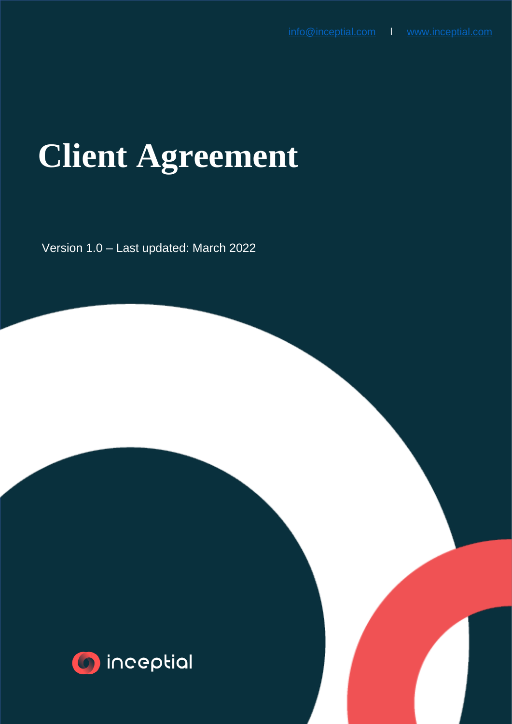# **Client Agreement**

٦ Version 1.0 – Last updated: March 2022

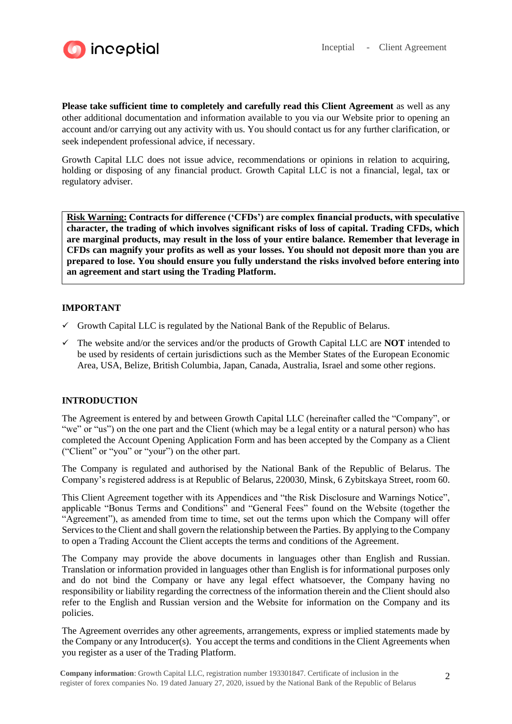

**Please take sufficient time to completely and carefully read this Client Agreement** as well as any other additional documentation and information available to you via our Website prior to opening an account and/or carrying out any activity with us. You should contact us for any further clarification, or seek independent professional advice, if necessary.

Growth Capital LLC does not issue advice, recommendations or opinions in relation to acquiring, holding or disposing of any financial product. Growth Capital LLC is not a financial, legal, tax or regulatory adviser.

**Risk Warning: Contracts for difference ('CFDs') are complex financial products, with speculative character, the trading of which involves significant risks of loss of capital. Trading CFDs, which are marginal products, may result in the loss of your entire balance. Remember that leverage in CFDs can magnify your profits as well as your losses. You should not deposit more than you are prepared to lose. You should ensure you fully understand the risks involved before entering into an agreement and start using the Trading Platform.**

## **IMPORTANT**

- $\checkmark$  Growth Capital LLC is regulated by the National Bank of the Republic of Belarus.
- ✓ The website and/or the services and/or the products of Growth Capital LLC are **NOT** intended to be used by residents of certain jurisdictions such as the Member States of the European Economic Area, USA, Belize, British Columbia, Japan, Canada, Australia, Israel and some other regions.

#### **INTRODUCTION**

The Agreement is entered by and between Growth Capital LLC (hereinafter called the "Company", or "we" or "us") on the one part and the Client (which may be a legal entity or a natural person) who has completed the Account Opening Application Form and has been accepted by the Company as a Client ("Client" or "you" or "your") on the other part.

The Company is regulated and authorised by the National Bank of the Republic of Belarus. The Company's registered address is at Republic of Belarus, 220030, Minsk, 6 Zybitskaya Street, room 60.

This Client Agreement together with its Appendices and "the Risk Disclosure and Warnings Notice", applicable "Bonus Terms and Conditions" and "General Fees" found on the Website (together the "Agreement"), as amended from time to time, set out the terms upon which the Company will offer Services to the Client and shall govern the relationship between the Parties. By applying to the Company to open a Trading Account the Client accepts the terms and conditions of the Agreement.

The Company may provide the above documents in languages other than English and Russian. Translation or information provided in languages other than English is for informational purposes only and do not bind the Company or have any legal effect whatsoever, the Company having no responsibility or liability regarding the correctness of the information therein and the Client should also refer to the English and Russian version and the Website for information on the Company and its policies.

The Agreement overrides any other agreements, arrangements, express or implied statements made by the Company or any Introducer(s). You accept the terms and conditions in the Client Agreements when you register as a user of the Trading Platform.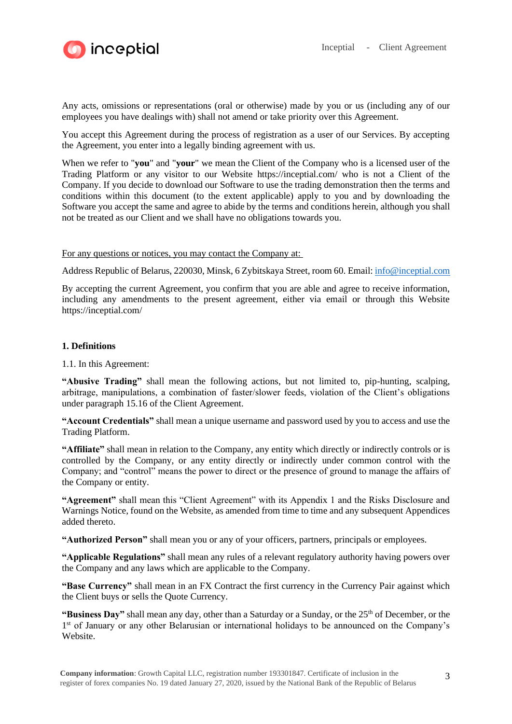

Any acts, omissions or representations (oral or otherwise) made by you or us (including any of our employees you have dealings with) shall not amend or take priority over this Agreement.

You accept this Agreement during the process of registration as a user of our Services. By accepting the Agreement, you enter into a legally binding agreement with us.

When we refer to "**you**" and "**your**" we mean the Client of the Company who is a licensed user of the Trading Platform or any visitor to our Website https://inceptial.com/ who is not a Client of the Company. If you decide to download our Software to use the trading demonstration then the terms and conditions within this document (to the extent applicable) apply to you and by downloading the Software you accept the same and agree to abide by the terms and conditions herein, although you shall not be treated as our Client and we shall have no obligations towards you.

For any questions or notices, you may contact the Company at:

Address Republic of Belarus, 220030, Minsk, 6 Zybitskaya Street, room 60. Email: [info@inceptial.com](mailto:info@inceptial.com)

By accepting the current Agreement, you confirm that you are able and agree to receive information, including any amendments to the present agreement, either via email or through this Website https://inceptial.com/

## **1. Definitions**

#### 1.1. In this Agreement:

**"Abusive Trading"** shall mean the following actions, but not limited to, pip-hunting, scalping, arbitrage, manipulations, a combination of faster/slower feeds, violation of the Client's obligations under paragraph 15.16 of the Client Agreement.

**"Account Credentials"** shall mean a unique username and password used by you to access and use the Trading Platform.

**"Affiliate"** shall mean in relation to the Company, any entity which directly or indirectly controls or is controlled by the Company, or any entity directly or indirectly under common control with the Company; and "control" means the power to direct or the presence of ground to manage the affairs of the Company or entity.

**"Agreement"** shall mean this "Client Agreement" with its Appendix 1 and the Risks Disclosure and Warnings Notice, found on the Website, as amended from time to time and any subsequent Appendices added thereto.

**"Authorized Person"** shall mean you or any of your officers, partners, principals or employees.

**"Applicable Regulations"** shall mean any rules of a relevant regulatory authority having powers over the Company and any laws which are applicable to the Company.

**"Base Currency"** shall mean in an FX Contract the first currency in the Currency Pair against which the Client buys or sells the Quote Currency.

**"Business Day"** shall mean any day, other than a Saturday or a Sunday, or the 25<sup>th</sup> of December, or the 1<sup>st</sup> of January or any other Belarusian or international holidays to be announced on the Company's Website.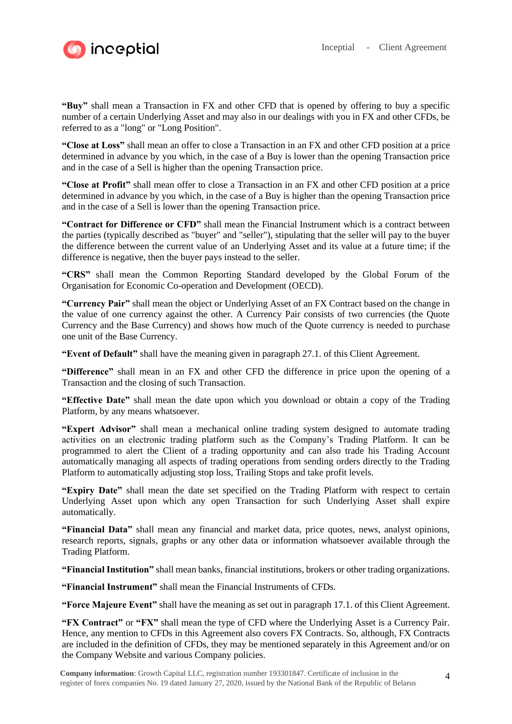

**"Buy"** shall mean a Transaction in FX and other CFD that is opened by offering to buy a specific number of a certain Underlying Asset and may also in our dealings with you in FX and other CFDs, be referred to as a "long" or "Long Position".

**"Close at Loss"** shall mean an offer to close a Transaction in an FX and other CFD position at a price determined in advance by you which, in the case of a Buy is lower than the opening Transaction price and in the case of a Sell is higher than the opening Transaction price.

**"Close at Profit"** shall mean offer to close a Transaction in an FX and other CFD position at a price determined in advance by you which, in the case of a Buy is higher than the opening Transaction price and in the case of a Sell is lower than the opening Transaction price.

**"Contract for Difference or CFD"** shall mean the Financial Instrument which is a contract between the parties (typically described as "buyer" and "seller"), stipulating that the seller will pay to the buyer the difference between the current value of an Underlying Asset and its value at a future time; if the difference is negative, then the buyer pays instead to the seller.

**"CRS"** shall mean the Common Reporting Standard developed by the Global Forum of the Organisation for Economic Co-operation and Development (OECD).

**"Currency Pair"** shall mean the object or Underlying Asset of an FX Contract based on the change in the value of one currency against the other. A Currency Pair consists of two currencies (the Quote Currency and the Base Currency) and shows how much of the Quote currency is needed to purchase one unit of the Base Currency.

**"Event of Default"** shall have the meaning given in paragraph 27.1. of this Client Agreement.

**"Difference"** shall mean in an FX and other CFD the difference in price upon the opening of a Transaction and the closing of such Transaction.

**"Effective Date"** shall mean the date upon which you download or obtain a copy of the Trading Platform, by any means whatsoever.

**"Expert Advisor"** shall mean a mechanical online trading system designed to automate trading activities on an electronic trading platform such as the Company's Trading Platform. It can be programmed to alert the Client of a trading opportunity and can also trade his Trading Account automatically managing all aspects of trading operations from sending orders directly to the Trading Platform to automatically adjusting stop loss, Trailing Stops and take profit levels.

**"Expiry Date"** shall mean the date set specified on the Trading Platform with respect to certain Underlying Asset upon which any open Transaction for such Underlying Asset shall expire automatically.

**"Financial Data"** shall mean any financial and market data, price quotes, news, analyst opinions, research reports, signals, graphs or any other data or information whatsoever available through the Trading Platform.

**"Financial Institution"** shall mean banks, financial institutions, brokers or other trading organizations.

**"Financial Instrument"** shall mean the Financial Instruments of CFDs.

**"Force Majeure Event"** shall have the meaning as set out in paragraph 17.1. of this Client Agreement.

**"FX Contract"** or **"FX"** shall mean the type of CFD where the Underlying Asset is a Currency Pair. Hence, any mention to CFDs in this Agreement also covers FX Contracts. So, although, FX Contracts are included in the definition of CFDs, they may be mentioned separately in this Agreement and/or on the Company Website and various Company policies.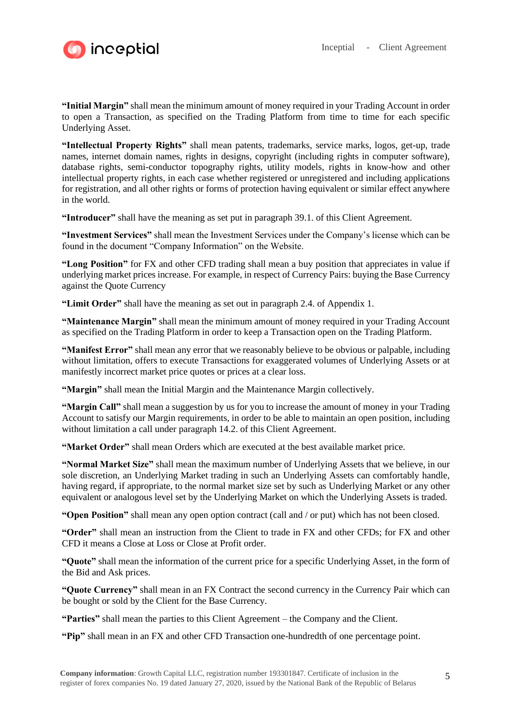

**"Initial Margin"** shall mean the minimum amount of money required in your Trading Account in order to open a Transaction, as specified on the Trading Platform from time to time for each specific Underlying Asset.

**"Intellectual Property Rights"** shall mean patents, trademarks, service marks, logos, get-up, trade names, internet domain names, rights in designs, copyright (including rights in computer software), database rights, semi-conductor topography rights, utility models, rights in know-how and other intellectual property rights, in each case whether registered or unregistered and including applications for registration, and all other rights or forms of protection having equivalent or similar effect anywhere in the world.

**"Introducer"** shall have the meaning as set put in paragraph 39.1. of this Client Agreement.

**"Investment Services"** shall mean the Investment Services under the Company's license which can be found in the document "Company Information" on the Website.

**"Long Position"** for FX and other CFD trading shall mean a buy position that appreciates in value if underlying market prices increase. For example, in respect of Currency Pairs: buying the Base Currency against the Quote Currency

**"Limit Order"** shall have the meaning as set out in paragraph 2.4. of Appendix 1.

**"Maintenance Margin"** shall mean the minimum amount of money required in your Trading Account as specified on the Trading Platform in order to keep a Transaction open on the Trading Platform.

**"Manifest Error"** shall mean any error that we reasonably believe to be obvious or palpable, including without limitation, offers to execute Transactions for exaggerated volumes of Underlying Assets or at manifestly incorrect market price quotes or prices at a clear loss.

**"Margin"** shall mean the Initial Margin and the Maintenance Margin collectively.

**"Margin Call"** shall mean a suggestion by us for you to increase the amount of money in your Trading Account to satisfy our Margin requirements, in order to be able to maintain an open position, including without limitation a call under paragraph 14.2. of this Client Agreement.

**"Market Order"** shall mean Orders which are executed at the best available market price.

**"Normal Market Size"** shall mean the maximum number of Underlying Assets that we believe, in our sole discretion, an Underlying Market trading in such an Underlying Assets can comfortably handle, having regard, if appropriate, to the normal market size set by such as Underlying Market or any other equivalent or analogous level set by the Underlying Market on which the Underlying Assets is traded.

**"Open Position"** shall mean any open option contract (call and / or put) which has not been closed.

**"Order"** shall mean an instruction from the Client to trade in FX and other CFDs; for FX and other CFD it means a Close at Loss or Close at Profit order.

**"Quote"** shall mean the information of the current price for a specific Underlying Asset, in the form of the Bid and Ask prices.

**"Quote Currency"** shall mean in an FX Contract the second currency in the Currency Pair which can be bought or sold by the Client for the Base Currency.

**"Parties"** shall mean the parties to this Client Agreement – the Company and the Client.

**"Pip"** shall mean in an FX and other CFD Transaction one-hundredth of one percentage point.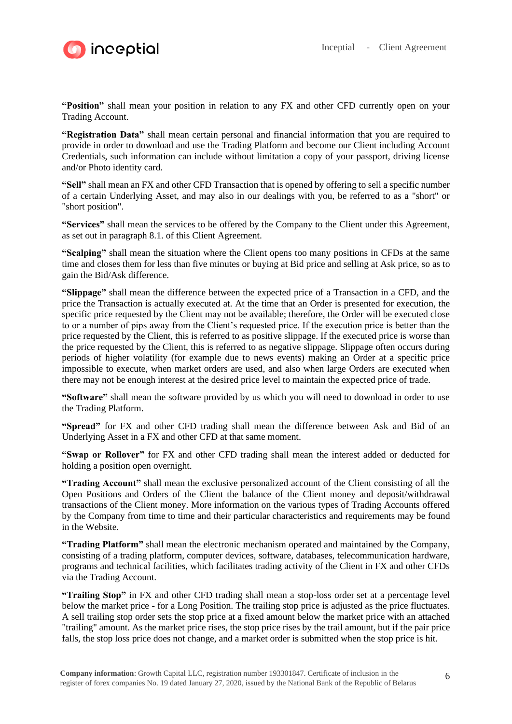



**"Position"** shall mean your position in relation to any FX and other CFD currently open on your Trading Account.

**"Registration Data"** shall mean certain personal and financial information that you are required to provide in order to download and use the Trading Platform and become our Client including Account Credentials, such information can include without limitation a copy of your passport, driving license and/or Photo identity card.

**"Sell"** shall mean an FX and other CFD Transaction that is opened by offering to sell a specific number of a certain Underlying Asset, and may also in our dealings with you, be referred to as a "short" or "short position".

**"Services"** shall mean the services to be offered by the Company to the Client under this Agreement, as set out in paragraph 8.1. of this Client Agreement.

**"Scalping"** shall mean the situation where the Client opens too many positions in CFDs at the same time and closes them for less than five minutes or buying at Bid price and selling at Ask price, so as to gain the Bid/Ask difference.

**"Slippage"** shall mean the difference between the expected price of a Transaction in a CFD, and the price the Transaction is actually executed at. At the time that an Order is presented for execution, the specific price requested by the Client may not be available; therefore, the Order will be executed close to or a number of pips away from the Client's requested price. If the execution price is better than the price requested by the Client, this is referred to as positive slippage. If the executed price is worse than the price requested by the Client, this is referred to as negative slippage. Slippage often occurs during periods of higher volatility (for example due to news events) making an Order at a specific price impossible to execute, when market orders are used, and also when large Orders are executed when there may not be enough interest at the desired price level to maintain the expected price of trade.

**"Software"** shall mean the software provided by us which you will need to download in order to use the Trading Platform.

**"Spread"** for FX and other CFD trading shall mean the difference between Ask and Bid of an Underlying Asset in a FX and other CFD at that same moment.

**"Swap or Rollover"** for FX and other CFD trading shall mean the interest added or deducted for holding a position open overnight.

**"Trading Account"** shall mean the exclusive personalized account of the Client consisting of all the Open Positions and Orders of the Client the balance of the Client money and deposit/withdrawal transactions of the Client money. More information on the various types of Trading Accounts offered by the Company from time to time and their particular characteristics and requirements may be found in the Website.

**"Trading Platform"** shall mean the electronic mechanism operated and maintained by the Company, consisting of a trading platform, computer devices, software, databases, telecommunication hardware, programs and technical facilities, which facilitates trading activity of the Client in FX and other CFDs via the Trading Account.

**"Trailing Stop"** in FX and other CFD trading shall mean a stop-loss order set at a percentage level below the market price - for a Long Position. The trailing stop price is adjusted as the price fluctuates. A sell trailing stop order sets the stop price at a fixed amount below the market price with an attached "trailing" amount. As the market price rises, the stop price rises by the trail amount, but if the pair price falls, the stop loss price does not change, and a market order is submitted when the stop price is hit.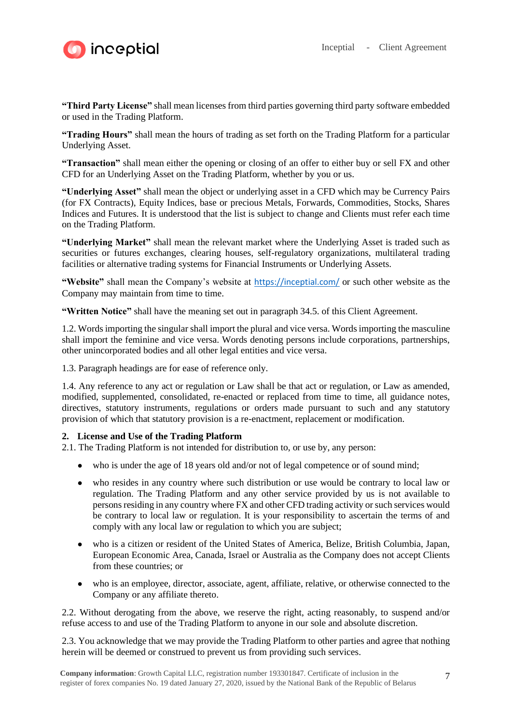

**"Third Party License"** shall mean licenses from third parties governing third party software embedded or used in the Trading Platform.

**"Trading Hours"** shall mean the hours of trading as set forth on the Trading Platform for a particular Underlying Asset.

**"Transaction"** shall mean either the opening or closing of an offer to either buy or sell FX and other CFD for an Underlying Asset on the Trading Platform, whether by you or us.

**"Underlying Asset"** shall mean the object or underlying asset in a CFD which may be Currency Pairs (for FX Contracts), Equity Indices, base or precious Metals, Forwards, Commodities, Stocks, Shares Indices and Futures. It is understood that the list is subject to change and Clients must refer each time on the Trading Platform.

**"Underlying Market"** shall mean the relevant market where the Underlying Asset is traded such as securities or futures exchanges, clearing houses, self-regulatory organizations, multilateral trading facilities or alternative trading systems for Financial Instruments or Underlying Assets.

**"Website"** shall mean the Company's website at <https://inceptial.com/> or such other website as the Company may maintain from time to time.

**"Written Notice"** shall have the meaning set out in paragraph 34.5. of this Client Agreement.

1.2. Words importing the singular shall import the plural and vice versa. Words importing the masculine shall import the feminine and vice versa. Words denoting persons include corporations, partnerships, other unincorporated bodies and all other legal entities and vice versa.

1.3. Paragraph headings are for ease of reference only.

1.4. Any reference to any act or regulation or Law shall be that act or regulation, or Law as amended, modified, supplemented, consolidated, re-enacted or replaced from time to time, all guidance notes, directives, statutory instruments, regulations or orders made pursuant to such and any statutory provision of which that statutory provision is a re-enactment, replacement or modification.

## **2. License and Use of the Trading Platform**

2.1. The Trading Platform is not intended for distribution to, or use by, any person:

- who is under the age of 18 years old and/or not of legal competence or of sound mind;
- who resides in any country where such distribution or use would be contrary to local law or regulation. The Trading Platform and any other service provided by us is not available to persons residing in any country where FX and other CFD trading activity or such services would be contrary to local law or regulation. It is your responsibility to ascertain the terms of and comply with any local law or regulation to which you are subject;
- who is a citizen or resident of the United States of America, Belize, British Columbia, Japan, European Economic Area, Canada, Israel or Australia as the Company does not accept Clients from these countries; or
- who is an employee, director, associate, agent, affiliate, relative, or otherwise connected to the Company or any affiliate thereto.

2.2. Without derogating from the above, we reserve the right, acting reasonably, to suspend and/or refuse access to and use of the Trading Platform to anyone in our sole and absolute discretion.

2.3. You acknowledge that we may provide the Trading Platform to other parties and agree that nothing herein will be deemed or construed to prevent us from providing such services.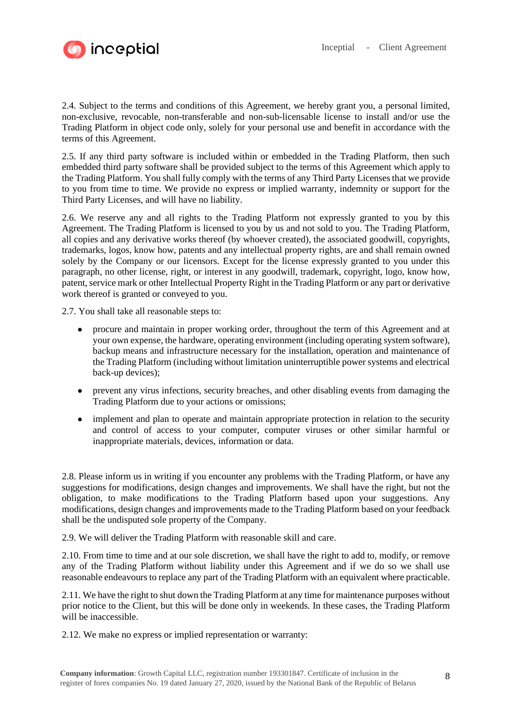

2.4. Subject to the terms and conditions of this Agreement, we hereby grant you, a personal limited, non-exclusive, revocable, non-transferable and non-sub-licensable license to install and/or use the Trading Platform in object code only, solely for your personal use and benefit in accordance with the terms of this Agreement.

2.5. If any third party software is included within or embedded in the Trading Platform, then such embedded third party software shall be provided subject to the terms of this Agreement which apply to the Trading Platform. You shall fully comply with the terms of any Third Party Licenses that we provide to you from time to time. We provide no express or implied warranty, indemnity or support for the Third Party Licenses, and will have no liability.

2.6. We reserve any and all rights to the Trading Platform not expressly granted to you by this Agreement. The Trading Platform is licensed to you by us and not sold to you. The Trading Platform, all copies and any derivative works thereof (by whoever created), the associated goodwill, copyrights, trademarks, logos, know how, patents and any intellectual property rights, are and shall remain owned solely by the Company or our licensors. Except for the license expressly granted to you under this paragraph, no other license, right, or interest in any goodwill, trademark, copyright, logo, know how, patent, service mark or other Intellectual Property Right in the Trading Platform or any part or derivative work thereof is granted or conveyed to you.

2.7. You shall take all reasonable steps to:

- procure and maintain in proper working order, throughout the term of this Agreement and at your own expense, the hardware, operating environment (including operating system software), backup means and infrastructure necessary for the installation, operation and maintenance of the Trading Platform (including without limitation uninterruptible power systems and electrical back-up devices);
- prevent any virus infections, security breaches, and other disabling events from damaging the Trading Platform due to your actions or omissions;
- implement and plan to operate and maintain appropriate protection in relation to the security and control of access to your computer, computer viruses or other similar harmful or inappropriate materials, devices, information or data.

2.8. Please inform us in writing if you encounter any problems with the Trading Platform, or have any suggestions for modifications, design changes and improvements. We shall have the right, but not the obligation, to make modifications to the Trading Platform based upon your suggestions. Any modifications, design changes and improvements made to the Trading Platform based on your feedback shall be the undisputed sole property of the Company.

2.9. We will deliver the Trading Platform with reasonable skill and care.

2.10. From time to time and at our sole discretion, we shall have the right to add to, modify, or remove any of the Trading Platform without liability under this Agreement and if we do so we shall use reasonable endeavours to replace any part of the Trading Platform with an equivalent where practicable.

2.11. We have the right to shut down the Trading Platform at any time for maintenance purposes without prior notice to the Client, but this will be done only in weekends. In these cases, the Trading Platform will be inaccessible.

2.12. We make no express or implied representation or warranty: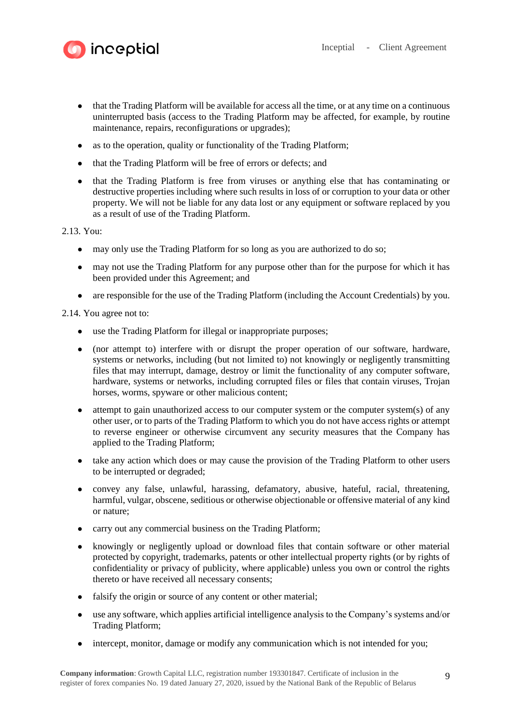

- that the Trading Platform will be available for access all the time, or at any time on a continuous uninterrupted basis (access to the Trading Platform may be affected, for example, by routine maintenance, repairs, reconfigurations or upgrades);
- as to the operation, quality or functionality of the Trading Platform;
- that the Trading Platform will be free of errors or defects; and
- that the Trading Platform is free from viruses or anything else that has contaminating or destructive properties including where such results in loss of or corruption to your data or other property. We will not be liable for any data lost or any equipment or software replaced by you as a result of use of the Trading Platform.

# 2.13. You:

- may only use the Trading Platform for so long as you are authorized to do so;
- may not use the Trading Platform for any purpose other than for the purpose for which it has been provided under this Agreement; and
- are responsible for the use of the Trading Platform (including the Account Credentials) by you.

2.14. You agree not to:

**inceptial** 

- use the Trading Platform for illegal or inappropriate purposes;
- (nor attempt to) interfere with or disrupt the proper operation of our software, hardware, systems or networks, including (but not limited to) not knowingly or negligently transmitting files that may interrupt, damage, destroy or limit the functionality of any computer software, hardware, systems or networks, including corrupted files or files that contain viruses, Trojan horses, worms, spyware or other malicious content;
- attempt to gain unauthorized access to our computer system or the computer system(s) of any other user, or to parts of the Trading Platform to which you do not have access rights or attempt to reverse engineer or otherwise circumvent any security measures that the Company has applied to the Trading Platform;
- take any action which does or may cause the provision of the Trading Platform to other users to be interrupted or degraded;
- convey any false, unlawful, harassing, defamatory, abusive, hateful, racial, threatening, harmful, vulgar, obscene, seditious or otherwise objectionable or offensive material of any kind or nature;
- carry out any commercial business on the Trading Platform;
- knowingly or negligently upload or download files that contain software or other material protected by copyright, trademarks, patents or other intellectual property rights (or by rights of confidentiality or privacy of publicity, where applicable) unless you own or control the rights thereto or have received all necessary consents;
- falsify the origin or source of any content or other material;
- use any software, which applies artificial intelligence analysis to the Company's systems and/or Trading Platform;
- intercept, monitor, damage or modify any communication which is not intended for you;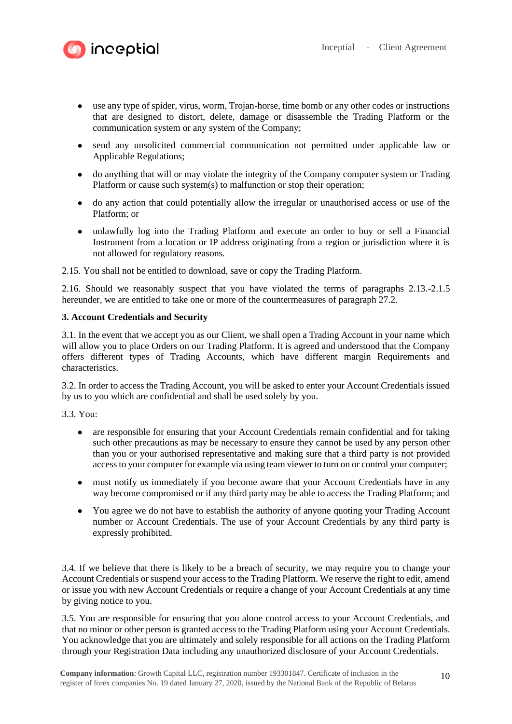



- use any type of spider, virus, worm, Trojan-horse, time bomb or any other codes or instructions that are designed to distort, delete, damage or disassemble the Trading Platform or the communication system or any system of the Company;
- send any unsolicited commercial communication not permitted under applicable law or Applicable Regulations;
- do anything that will or may violate the integrity of the Company computer system or Trading Platform or cause such system(s) to malfunction or stop their operation;
- do any action that could potentially allow the irregular or unauthorised access or use of the Platform; or
- unlawfully log into the Trading Platform and execute an order to buy or sell a Financial Instrument from a location or IP address originating from a region or jurisdiction where it is not allowed for regulatory reasons.

2.15. You shall not be entitled to download, save or copy the Trading Platform.

2.16. Should we reasonably suspect that you have violated the terms of paragraphs 2.13.-2.1.5 hereunder, we are entitled to take one or more of the countermeasures of paragraph 27.2.

# **3. Account Credentials and Security**

3.1. In the event that we accept you as our Client, we shall open a Trading Account in your name which will allow you to place Orders on our Trading Platform. It is agreed and understood that the Company offers different types of Trading Accounts, which have different margin Requirements and characteristics.

3.2. In order to access the Trading Account, you will be asked to enter your Account Credentials issued by us to you which are confidential and shall be used solely by you.

3.3. You:

- are responsible for ensuring that your Account Credentials remain confidential and for taking such other precautions as may be necessary to ensure they cannot be used by any person other than you or your authorised representative and making sure that a third party is not provided access to your computer for example via using team viewer to turn on or control your computer;
- must notify us immediately if you become aware that your Account Credentials have in any way become compromised or if any third party may be able to access the Trading Platform; and
- You agree we do not have to establish the authority of anyone quoting your Trading Account number or Account Credentials. The use of your Account Credentials by any third party is expressly prohibited.

3.4. If we believe that there is likely to be a breach of security, we may require you to change your Account Credentials or suspend your access to the Trading Platform. We reserve the right to edit, amend or issue you with new Account Credentials or require a change of your Account Credentials at any time by giving notice to you.

3.5. You are responsible for ensuring that you alone control access to your Account Credentials, and that no minor or other person is granted access to the Trading Platform using your Account Credentials. You acknowledge that you are ultimately and solely responsible for all actions on the Trading Platform through your Registration Data including any unauthorized disclosure of your Account Credentials.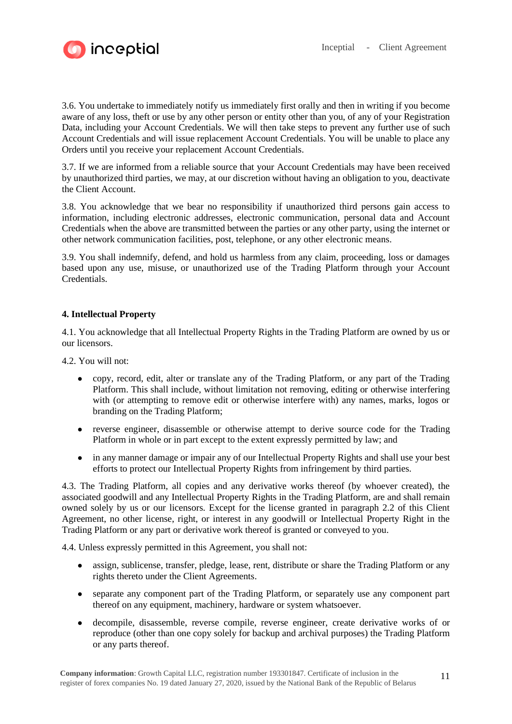

3.6. You undertake to immediately notify us immediately first orally and then in writing if you become aware of any loss, theft or use by any other person or entity other than you, of any of your Registration Data, including your Account Credentials. We will then take steps to prevent any further use of such Account Credentials and will issue replacement Account Credentials. You will be unable to place any Orders until you receive your replacement Account Credentials.

3.7. If we are informed from a reliable source that your Account Credentials may have been received by unauthorized third parties, we may, at our discretion without having an obligation to you, deactivate the Client Account.

3.8. You acknowledge that we bear no responsibility if unauthorized third persons gain access to information, including electronic addresses, electronic communication, personal data and Account Credentials when the above are transmitted between the parties or any other party, using the internet or other network communication facilities, post, telephone, or any other electronic means.

3.9. You shall indemnify, defend, and hold us harmless from any claim, proceeding, loss or damages based upon any use, misuse, or unauthorized use of the Trading Platform through your Account Credentials.

## **4. Intellectual Property**

4.1. You acknowledge that all Intellectual Property Rights in the Trading Platform are owned by us or our licensors.

4.2. You will not:

- copy, record, edit, alter or translate any of the Trading Platform, or any part of the Trading Platform. This shall include, without limitation not removing, editing or otherwise interfering with (or attempting to remove edit or otherwise interfere with) any names, marks, logos or branding on the Trading Platform;
- reverse engineer, disassemble or otherwise attempt to derive source code for the Trading Platform in whole or in part except to the extent expressly permitted by law; and
- in any manner damage or impair any of our Intellectual Property Rights and shall use your best efforts to protect our Intellectual Property Rights from infringement by third parties.

4.3. The Trading Platform, all copies and any derivative works thereof (by whoever created), the associated goodwill and any Intellectual Property Rights in the Trading Platform, are and shall remain owned solely by us or our licensors. Except for the license granted in paragraph 2.2 of this Client Agreement, no other license, right, or interest in any goodwill or Intellectual Property Right in the Trading Platform or any part or derivative work thereof is granted or conveyed to you.

4.4. Unless expressly permitted in this Agreement, you shall not:

- assign, sublicense, transfer, pledge, lease, rent, distribute or share the Trading Platform or any rights thereto under the Client Agreements.
- separate any component part of the Trading Platform, or separately use any component part thereof on any equipment, machinery, hardware or system whatsoever.
- decompile, disassemble, reverse compile, reverse engineer, create derivative works of or reproduce (other than one copy solely for backup and archival purposes) the Trading Platform or any parts thereof.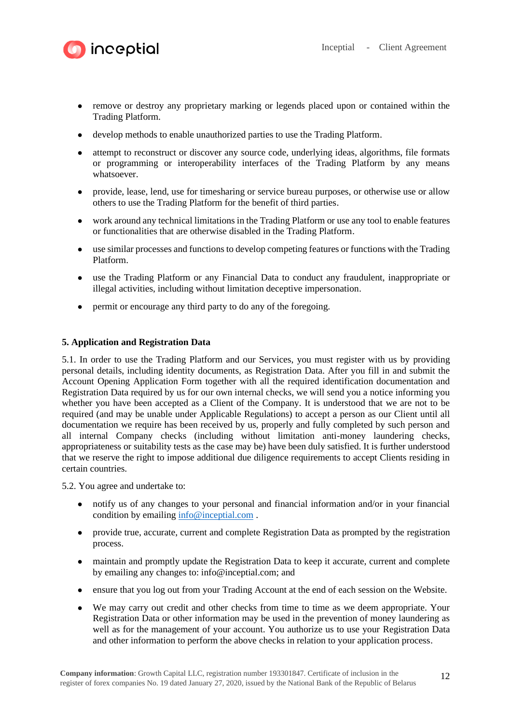

- **inceptial** 
	- remove or destroy any proprietary marking or legends placed upon or contained within the Trading Platform.
	- develop methods to enable unauthorized parties to use the Trading Platform.
	- attempt to reconstruct or discover any source code, underlying ideas, algorithms, file formats or programming or interoperability interfaces of the Trading Platform by any means whatsoever.
	- provide, lease, lend, use for timesharing or service bureau purposes, or otherwise use or allow others to use the Trading Platform for the benefit of third parties.
	- work around any technical limitations in the Trading Platform or use any tool to enable features or functionalities that are otherwise disabled in the Trading Platform.
	- use similar processes and functions to develop competing features or functions with the Trading Platform.
	- use the Trading Platform or any Financial Data to conduct any fraudulent, inappropriate or illegal activities, including without limitation deceptive impersonation.
	- permit or encourage any third party to do any of the foregoing.

# **5. Application and Registration Data**

5.1. In order to use the Trading Platform and our Services, you must register with us by providing personal details, including identity documents, as Registration Data. After you fill in and submit the Account Opening Application Form together with all the required identification documentation and Registration Data required by us for our own internal checks, we will send you a notice informing you whether you have been accepted as a Client of the Company. It is understood that we are not to be required (and may be unable under Applicable Regulations) to accept a person as our Client until all documentation we require has been received by us, properly and fully completed by such person and all internal Company checks (including without limitation anti-money laundering checks, appropriateness or suitability tests as the case may be) have been duly satisfied. It is further understood that we reserve the right to impose additional due diligence requirements to accept Clients residing in certain countries.

5.2. You agree and undertake to:

- notify us of any changes to your personal and financial information and/or in your financial condition by emailing [info@inceptial.com](mailto:info@inceptial.com) .
- provide true, accurate, current and complete Registration Data as prompted by the registration process.
- maintain and promptly update the Registration Data to keep it accurate, current and complete by emailing any changes to: info@inceptial.com; and
- ensure that you log out from your Trading Account at the end of each session on the Website.
- We may carry out credit and other checks from time to time as we deem appropriate. Your Registration Data or other information may be used in the prevention of money laundering as well as for the management of your account. You authorize us to use your Registration Data and other information to perform the above checks in relation to your application process.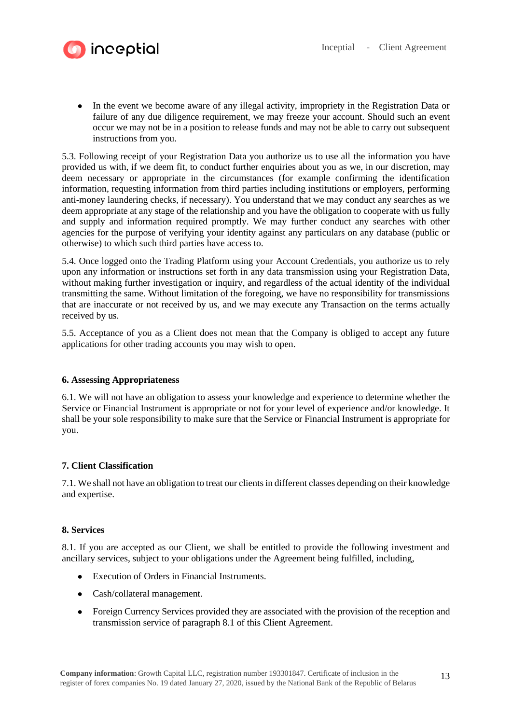

• In the event we become aware of any illegal activity, impropriety in the Registration Data or failure of any due diligence requirement, we may freeze your account. Should such an event occur we may not be in a position to release funds and may not be able to carry out subsequent instructions from you.

5.3. Following receipt of your Registration Data you authorize us to use all the information you have provided us with, if we deem fit, to conduct further enquiries about you as we, in our discretion, may deem necessary or appropriate in the circumstances (for example confirming the identification information, requesting information from third parties including institutions or employers, performing anti-money laundering checks, if necessary). You understand that we may conduct any searches as we deem appropriate at any stage of the relationship and you have the obligation to cooperate with us fully and supply and information required promptly. We may further conduct any searches with other agencies for the purpose of verifying your identity against any particulars on any database (public or otherwise) to which such third parties have access to.

5.4. Once logged onto the Trading Platform using your Account Credentials, you authorize us to rely upon any information or instructions set forth in any data transmission using your Registration Data, without making further investigation or inquiry, and regardless of the actual identity of the individual transmitting the same. Without limitation of the foregoing, we have no responsibility for transmissions that are inaccurate or not received by us, and we may execute any Transaction on the terms actually received by us.

5.5. Acceptance of you as a Client does not mean that the Company is obliged to accept any future applications for other trading accounts you may wish to open.

# **6. Assessing Appropriateness**

6.1. We will not have an obligation to assess your knowledge and experience to determine whether the Service or Financial Instrument is appropriate or not for your level of experience and/or knowledge. It shall be your sole responsibility to make sure that the Service or Financial Instrument is appropriate for you.

# **7. Client Classification**

7.1. We shall not have an obligation to treat our clients in different classes depending on their knowledge and expertise.

## **8. Services**

8.1. If you are accepted as our Client, we shall be entitled to provide the following investment and ancillary services, subject to your obligations under the Agreement being fulfilled, including,

- Execution of Orders in Financial Instruments.
- Cash/collateral management.
- Foreign Currency Services provided they are associated with the provision of the reception and transmission service of paragraph 8.1 of this Client Agreement.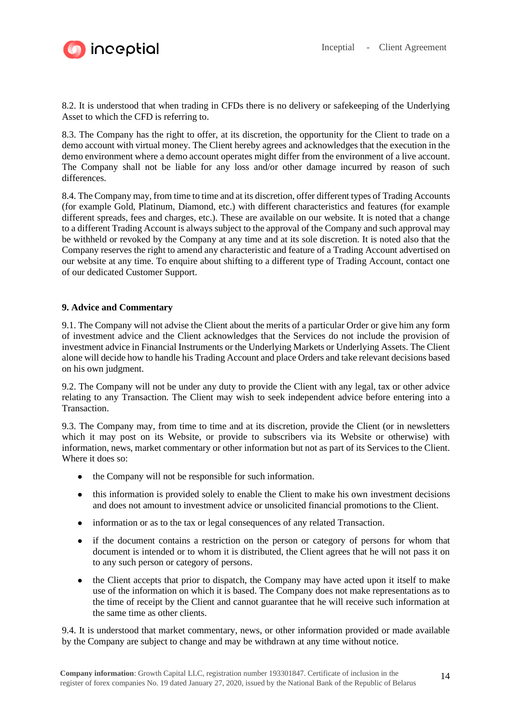

8.2. It is understood that when trading in CFDs there is no delivery or safekeeping of the Underlying Asset to which the CFD is referring to.

8.3. The Company has the right to offer, at its discretion, the opportunity for the Client to trade on a demo account with virtual money. The Client hereby agrees and acknowledges that the execution in the demo environment where a demo account operates might differ from the environment of a live account. The Company shall not be liable for any loss and/or other damage incurred by reason of such differences.

8.4. The Company may, from time to time and at its discretion, offer different types of Trading Accounts (for example Gold, Platinum, Diamond, etc.) with different characteristics and features (for example different spreads, fees and charges, etc.). These are available on our website. It is noted that a change to a different Trading Account is always subject to the approval of the Company and such approval may be withheld or revoked by the Company at any time and at its sole discretion. It is noted also that the Company reserves the right to amend any characteristic and feature of a Trading Account advertised on our website at any time. To enquire about shifting to a different type of Trading Account, contact one of our dedicated Customer Support.

## **9. Advice and Commentary**

9.1. The Company will not advise the Client about the merits of a particular Order or give him any form of investment advice and the Client acknowledges that the Services do not include the provision of investment advice in Financial Instruments or the Underlying Markets or Underlying Assets. The Client alone will decide how to handle his Trading Account and place Orders and take relevant decisions based on his own judgment.

9.2. The Company will not be under any duty to provide the Client with any legal, tax or other advice relating to any Transaction. The Client may wish to seek independent advice before entering into a Transaction.

9.3. The Company may, from time to time and at its discretion, provide the Client (or in newsletters which it may post on its Website, or provide to subscribers via its Website or otherwise) with information, news, market commentary or other information but not as part of its Services to the Client. Where it does so:

- the Company will not be responsible for such information.
- this information is provided solely to enable the Client to make his own investment decisions and does not amount to investment advice or unsolicited financial promotions to the Client.
- information or as to the tax or legal consequences of any related Transaction.
- if the document contains a restriction on the person or category of persons for whom that document is intended or to whom it is distributed, the Client agrees that he will not pass it on to any such person or category of persons.
- the Client accepts that prior to dispatch, the Company may have acted upon it itself to make use of the information on which it is based. The Company does not make representations as to the time of receipt by the Client and cannot guarantee that he will receive such information at the same time as other clients.

9.4. It is understood that market commentary, news, or other information provided or made available by the Company are subject to change and may be withdrawn at any time without notice.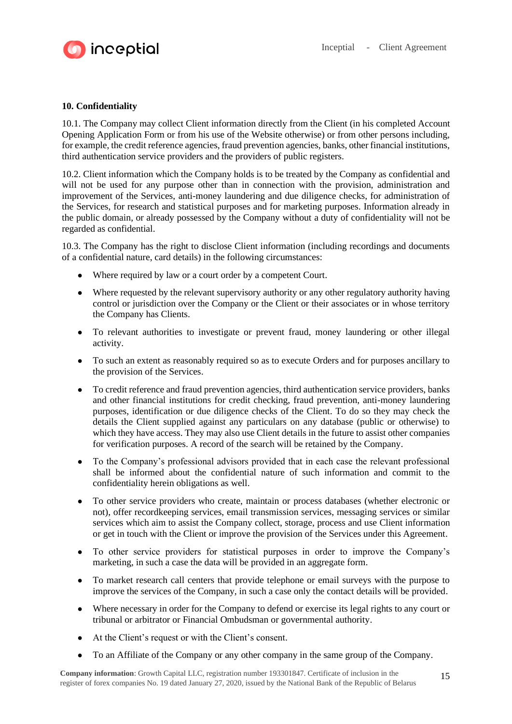

# **10. Confidentiality**

10.1. The Company may collect Client information directly from the Client (in his completed Account Opening Application Form or from his use of the Website otherwise) or from other persons including, for example, the credit reference agencies, fraud prevention agencies, banks, other financial institutions, third authentication service providers and the providers of public registers.

10.2. Client information which the Company holds is to be treated by the Company as confidential and will not be used for any purpose other than in connection with the provision, administration and improvement of the Services, anti-money laundering and due diligence checks, for administration of the Services, for research and statistical purposes and for marketing purposes. Information already in the public domain, or already possessed by the Company without a duty of confidentiality will not be regarded as confidential.

10.3. The Company has the right to disclose Client information (including recordings and documents of a confidential nature, card details) in the following circumstances:

- Where required by law or a court order by a competent Court.
- Where requested by the relevant supervisory authority or any other regulatory authority having control or jurisdiction over the Company or the Client or their associates or in whose territory the Company has Clients.
- To relevant authorities to investigate or prevent fraud, money laundering or other illegal activity.
- To such an extent as reasonably required so as to execute Orders and for purposes ancillary to the provision of the Services.
- To credit reference and fraud prevention agencies, third authentication service providers, banks and other financial institutions for credit checking, fraud prevention, anti-money laundering purposes, identification or due diligence checks of the Client. To do so they may check the details the Client supplied against any particulars on any database (public or otherwise) to which they have access. They may also use Client details in the future to assist other companies for verification purposes. A record of the search will be retained by the Company.
- To the Company's professional advisors provided that in each case the relevant professional shall be informed about the confidential nature of such information and commit to the confidentiality herein obligations as well.
- To other service providers who create, maintain or process databases (whether electronic or not), offer recordkeeping services, email transmission services, messaging services or similar services which aim to assist the Company collect, storage, process and use Client information or get in touch with the Client or improve the provision of the Services under this Agreement.
- To other service providers for statistical purposes in order to improve the Company's marketing, in such a case the data will be provided in an aggregate form.
- To market research call centers that provide telephone or email surveys with the purpose to improve the services of the Company, in such a case only the contact details will be provided.
- Where necessary in order for the Company to defend or exercise its legal rights to any court or tribunal or arbitrator or Financial Ombudsman or governmental authority.
- At the Client's request or with the Client's consent.
- To an Affiliate of the Company or any other company in the same group of the Company.

**Company information**: Growth Capital LLC, registration number 193301847. Certificate of inclusion in the register of forex companies No. 19 dated January 27, 2020, issued by the National Bank of the Republic of Belarus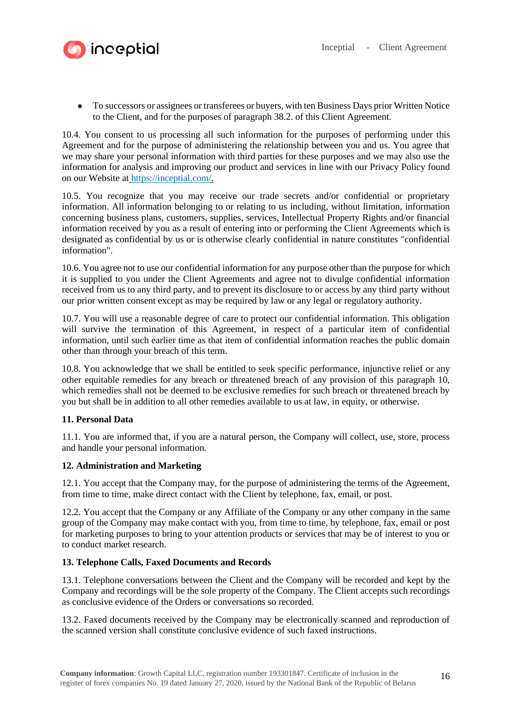

● To successors or assignees or transferees or buyers, with ten Business Days prior Written Notice to the Client, and for the purposes of paragraph 38.2. of this Client Agreement.

10.4. You consent to us processing all such information for the purposes of performing under this Agreement and for the purpose of administering the relationship between you and us. You agree that we may share your personal information with third parties for these purposes and we may also use the information for analysis and improving our product and services in line with our Privacy Policy found on our Website at [https://inceptial.com/.](https://inceptial.com/)

10.5. You recognize that you may receive our trade secrets and/or confidential or proprietary information. All information belonging to or relating to us including, without limitation, information concerning business plans, customers, supplies, services, Intellectual Property Rights and/or financial information received by you as a result of entering into or performing the Client Agreements which is designated as confidential by us or is otherwise clearly confidential in nature constitutes "confidential information".

10.6. You agree not to use our confidential information for any purpose other than the purpose for which it is supplied to you under the Client Agreements and agree not to divulge confidential information received from us to any third party, and to prevent its disclosure to or access by any third party without our prior written consent except as may be required by law or any legal or regulatory authority.

10.7. You will use a reasonable degree of care to protect our confidential information. This obligation will survive the termination of this Agreement, in respect of a particular item of confidential information, until such earlier time as that item of confidential information reaches the public domain other than through your breach of this term.

10.8. You acknowledge that we shall be entitled to seek specific performance, injunctive relief or any other equitable remedies for any breach or threatened breach of any provision of this paragraph 10, which remedies shall not be deemed to be exclusive remedies for such breach or threatened breach by you but shall be in addition to all other remedies available to us at law, in equity, or otherwise.

## **11. Personal Data**

11.1. You are informed that, if you are a natural person, the Company will collect, use, store, process and handle your personal information.

## **12. Administration and Marketing**

12.1. You accept that the Company may, for the purpose of administering the terms of the Agreement, from time to time, make direct contact with the Client by telephone, fax, email, or post.

12.2. You accept that the Company or any Affiliate of the Company or any other company in the same group of the Company may make contact with you, from time to time, by telephone, fax, email or post for marketing purposes to bring to your attention products or services that may be of interest to you or to conduct market research.

## **13. Telephone Calls, Faxed Documents and Records**

13.1. Telephone conversations between the Client and the Company will be recorded and kept by the Company and recordings will be the sole property of the Company. The Client accepts such recordings as conclusive evidence of the Orders or conversations so recorded.

13.2. Faxed documents received by the Company may be electronically scanned and reproduction of the scanned version shall constitute conclusive evidence of such faxed instructions.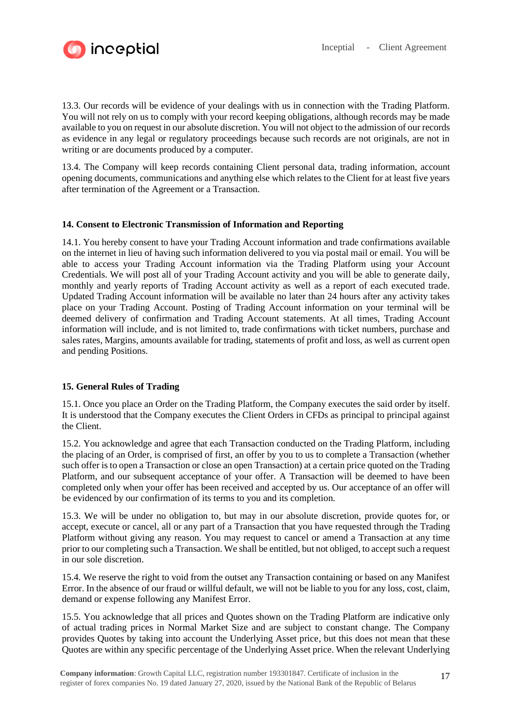

13.3. Our records will be evidence of your dealings with us in connection with the Trading Platform. You will not rely on us to comply with your record keeping obligations, although records may be made available to you on request in our absolute discretion. You will not object to the admission of our records as evidence in any legal or regulatory proceedings because such records are not originals, are not in writing or are documents produced by a computer.

13.4. The Company will keep records containing Client personal data, trading information, account opening documents, communications and anything else which relates to the Client for at least five years after termination of the Agreement or a Transaction.

## **14. Consent to Electronic Transmission of Information and Reporting**

14.1. You hereby consent to have your Trading Account information and trade confirmations available on the internet in lieu of having such information delivered to you via postal mail or email. You will be able to access your Trading Account information via the Trading Platform using your Account Credentials. We will post all of your Trading Account activity and you will be able to generate daily, monthly and yearly reports of Trading Account activity as well as a report of each executed trade. Updated Trading Account information will be available no later than 24 hours after any activity takes place on your Trading Account. Posting of Trading Account information on your terminal will be deemed delivery of confirmation and Trading Account statements. At all times, Trading Account information will include, and is not limited to, trade confirmations with ticket numbers, purchase and sales rates, Margins, amounts available for trading, statements of profit and loss, as well as current open and pending Positions.

## **15. General Rules of Trading**

15.1. Once you place an Order on the Trading Platform, the Company executes the said order by itself. It is understood that the Company executes the Client Orders in CFDs as principal to principal against the Client.

15.2. You acknowledge and agree that each Transaction conducted on the Trading Platform, including the placing of an Order, is comprised of first, an offer by you to us to complete a Transaction (whether such offer is to open a Transaction or close an open Transaction) at a certain price quoted on the Trading Platform, and our subsequent acceptance of your offer. A Transaction will be deemed to have been completed only when your offer has been received and accepted by us. Our acceptance of an offer will be evidenced by our confirmation of its terms to you and its completion.

15.3. We will be under no obligation to, but may in our absolute discretion, provide quotes for, or accept, execute or cancel, all or any part of a Transaction that you have requested through the Trading Platform without giving any reason. You may request to cancel or amend a Transaction at any time prior to our completing such a Transaction. We shall be entitled, but not obliged, to accept such a request in our sole discretion.

15.4. We reserve the right to void from the outset any Transaction containing or based on any Manifest Error. In the absence of our fraud or willful default, we will not be liable to you for any loss, cost, claim, demand or expense following any Manifest Error.

15.5. You acknowledge that all prices and Quotes shown on the Trading Platform are indicative only of actual trading prices in Normal Market Size and are subject to constant change. The Company provides Quotes by taking into account the Underlying Asset price, but this does not mean that these Quotes are within any specific percentage of the Underlying Asset price. When the relevant Underlying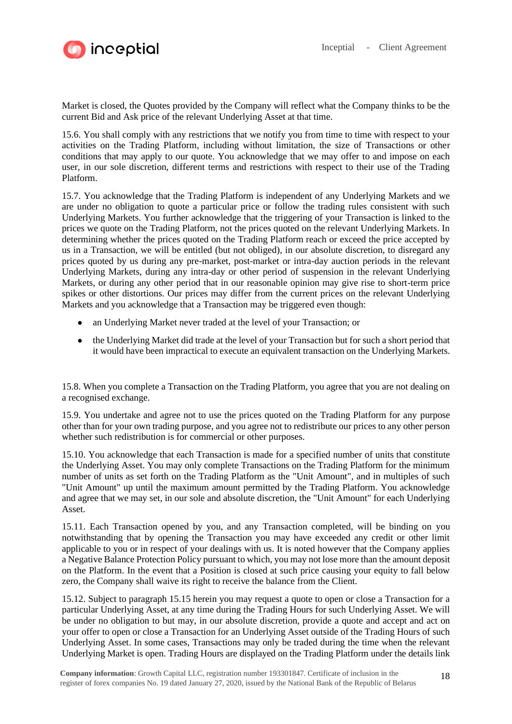

Market is closed, the Quotes provided by the Company will reflect what the Company thinks to be the current Bid and Ask price of the relevant Underlying Asset at that time.

15.6. You shall comply with any restrictions that we notify you from time to time with respect to your activities on the Trading Platform, including without limitation, the size of Transactions or other conditions that may apply to our quote. You acknowledge that we may offer to and impose on each user, in our sole discretion, different terms and restrictions with respect to their use of the Trading Platform.

15.7. You acknowledge that the Trading Platform is independent of any Underlying Markets and we are under no obligation to quote a particular price or follow the trading rules consistent with such Underlying Markets. You further acknowledge that the triggering of your Transaction is linked to the prices we quote on the Trading Platform, not the prices quoted on the relevant Underlying Markets. In determining whether the prices quoted on the Trading Platform reach or exceed the price accepted by us in a Transaction, we will be entitled (but not obliged), in our absolute discretion, to disregard any prices quoted by us during any pre-market, post-market or intra-day auction periods in the relevant Underlying Markets, during any intra-day or other period of suspension in the relevant Underlying Markets, or during any other period that in our reasonable opinion may give rise to short-term price spikes or other distortions. Our prices may differ from the current prices on the relevant Underlying Markets and you acknowledge that a Transaction may be triggered even though:

- an Underlying Market never traded at the level of your Transaction; or
- the Underlying Market did trade at the level of your Transaction but for such a short period that it would have been impractical to execute an equivalent transaction on the Underlying Markets.

15.8. When you complete a Transaction on the Trading Platform, you agree that you are not dealing on a recognised exchange.

15.9. You undertake and agree not to use the prices quoted on the Trading Platform for any purpose other than for your own trading purpose, and you agree not to redistribute our prices to any other person whether such redistribution is for commercial or other purposes.

15.10. You acknowledge that each Transaction is made for a specified number of units that constitute the Underlying Asset. You may only complete Transactions on the Trading Platform for the minimum number of units as set forth on the Trading Platform as the "Unit Amount", and in multiples of such "Unit Amount" up until the maximum amount permitted by the Trading Platform. You acknowledge and agree that we may set, in our sole and absolute discretion, the "Unit Amount" for each Underlying Asset.

15.11. Each Transaction opened by you, and any Transaction completed, will be binding on you notwithstanding that by opening the Transaction you may have exceeded any credit or other limit applicable to you or in respect of your dealings with us. It is noted however that the Company applies a Negative Balance Protection Policy pursuant to which, you may not lose more than the amount deposit on the Platform. In the event that a Position is closed at such price causing your equity to fall below zero, the Company shall waive its right to receive the balance from the Client.

15.12. Subject to paragraph 15.15 herein you may request a quote to open or close a Transaction for a particular Underlying Asset, at any time during the Trading Hours for such Underlying Asset. We will be under no obligation to but may, in our absolute discretion, provide a quote and accept and act on your offer to open or close a Transaction for an Underlying Asset outside of the Trading Hours of such Underlying Asset. In some cases, Transactions may only be traded during the time when the relevant Underlying Market is open. Trading Hours are displayed on the Trading Platform under the details link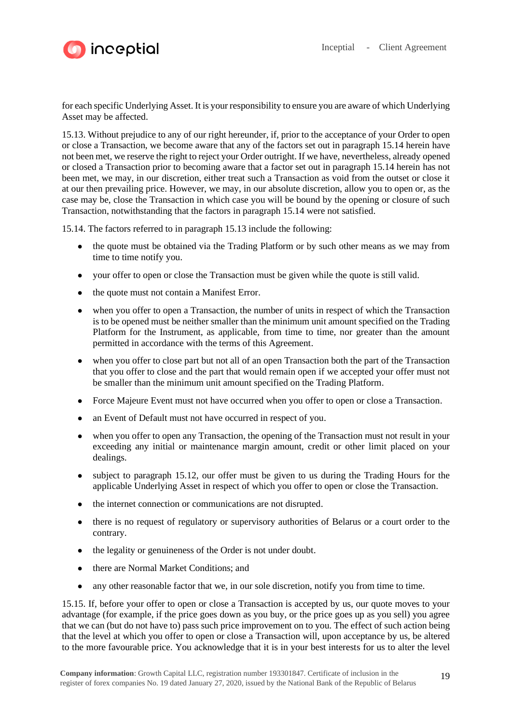



for each specific Underlying Asset. It is your responsibility to ensure you are aware of which Underlying Asset may be affected.

15.13. Without prejudice to any of our right hereunder, if, prior to the acceptance of your Order to open or close a Transaction, we become aware that any of the factors set out in paragraph 15.14 herein have not been met, we reserve the right to reject your Order outright. If we have, nevertheless, already opened or closed a Transaction prior to becoming aware that a factor set out in paragraph 15.14 herein has not been met, we may, in our discretion, either treat such a Transaction as void from the outset or close it at our then prevailing price. However, we may, in our absolute discretion, allow you to open or, as the case may be, close the Transaction in which case you will be bound by the opening or closure of such Transaction, notwithstanding that the factors in paragraph 15.14 were not satisfied.

15.14. The factors referred to in paragraph 15.13 include the following:

- the quote must be obtained via the Trading Platform or by such other means as we may from time to time notify you.
- your offer to open or close the Transaction must be given while the quote is still valid.
- the quote must not contain a Manifest Error.
- when you offer to open a Transaction, the number of units in respect of which the Transaction is to be opened must be neither smaller than the minimum unit amount specified on the Trading Platform for the Instrument, as applicable, from time to time, nor greater than the amount permitted in accordance with the terms of this Agreement.
- when you offer to close part but not all of an open Transaction both the part of the Transaction that you offer to close and the part that would remain open if we accepted your offer must not be smaller than the minimum unit amount specified on the Trading Platform.
- Force Majeure Event must not have occurred when you offer to open or close a Transaction.
- an Event of Default must not have occurred in respect of you.
- when you offer to open any Transaction, the opening of the Transaction must not result in your exceeding any initial or maintenance margin amount, credit or other limit placed on your dealings.
- subject to paragraph 15.12, our offer must be given to us during the Trading Hours for the applicable Underlying Asset in respect of which you offer to open or close the Transaction.
- the internet connection or communications are not disrupted.
- there is no request of regulatory or supervisory authorities of Belarus or a court order to the contrary.
- the legality or genuineness of the Order is not under doubt.
- there are Normal Market Conditions; and
- any other reasonable factor that we, in our sole discretion, notify you from time to time.

15.15. If, before your offer to open or close a Transaction is accepted by us, our quote moves to your advantage (for example, if the price goes down as you buy, or the price goes up as you sell) you agree that we can (but do not have to) pass such price improvement on to you. The effect of such action being that the level at which you offer to open or close a Transaction will, upon acceptance by us, be altered to the more favourable price. You acknowledge that it is in your best interests for us to alter the level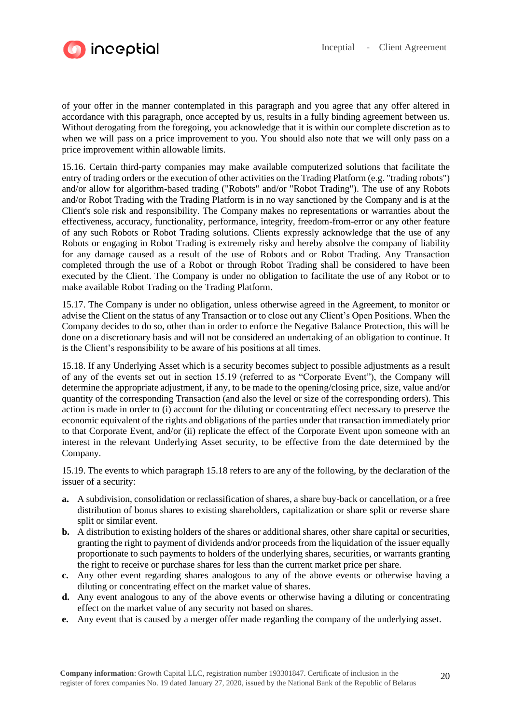

of your offer in the manner contemplated in this paragraph and you agree that any offer altered in accordance with this paragraph, once accepted by us, results in a fully binding agreement between us. Without derogating from the foregoing, you acknowledge that it is within our complete discretion as to when we will pass on a price improvement to you. You should also note that we will only pass on a price improvement within allowable limits.

15.16. Certain third-party companies may make available computerized solutions that facilitate the entry of trading orders or the execution of other activities on the Trading Platform (e.g. "trading robots") and/or allow for algorithm-based trading ("Robots" and/or "Robot Trading"). The use of any Robots and/or Robot Trading with the Trading Platform is in no way sanctioned by the Company and is at the Client's sole risk and responsibility. The Company makes no representations or warranties about the effectiveness, accuracy, functionality, performance, integrity, freedom-from-error or any other feature of any such Robots or Robot Trading solutions. Clients expressly acknowledge that the use of any Robots or engaging in Robot Trading is extremely risky and hereby absolve the company of liability for any damage caused as a result of the use of Robots and or Robot Trading. Any Transaction completed through the use of a Robot or through Robot Trading shall be considered to have been executed by the Client. The Company is under no obligation to facilitate the use of any Robot or to make available Robot Trading on the Trading Platform.

15.17. The Company is under no obligation, unless otherwise agreed in the Agreement, to monitor or advise the Client on the status of any Transaction or to close out any Client's Open Positions. When the Company decides to do so, other than in order to enforce the Negative Balance Protection, this will be done on a discretionary basis and will not be considered an undertaking of an obligation to continue. It is the Client's responsibility to be aware of his positions at all times.

15.18. If any Underlying Asset which is a security becomes subject to possible adjustments as a result of any of the events set out in section 15.19 (referred to as "Corporate Event"), the Company will determine the appropriate adjustment, if any, to be made to the opening/closing price, size, value and/or quantity of the corresponding Transaction (and also the level or size of the corresponding orders). This action is made in order to (i) account for the diluting or concentrating effect necessary to preserve the economic equivalent of the rights and obligations of the parties under that transaction immediately prior to that Corporate Event, and/or (ii) replicate the effect of the Corporate Event upon someone with an interest in the relevant Underlying Asset security, to be effective from the date determined by the Company.

15.19. The events to which paragraph 15.18 refers to are any of the following, by the declaration of the issuer of a security:

- **a.** A subdivision, consolidation or reclassification of shares, a share buy-back or cancellation, or a free distribution of bonus shares to existing shareholders, capitalization or share split or reverse share split or similar event.
- **b.** A distribution to existing holders of the shares or additional shares, other share capital or securities, granting the right to payment of dividends and/or proceeds from the liquidation of the issuer equally proportionate to such payments to holders of the underlying shares, securities, or warrants granting the right to receive or purchase shares for less than the current market price per share.
- **c.** Any other event regarding shares analogous to any of the above events or otherwise having a diluting or concentrating effect on the market value of shares.
- **d.** Any event analogous to any of the above events or otherwise having a diluting or concentrating effect on the market value of any security not based on shares.
- **e.** Any event that is caused by a merger offer made regarding the company of the underlying asset.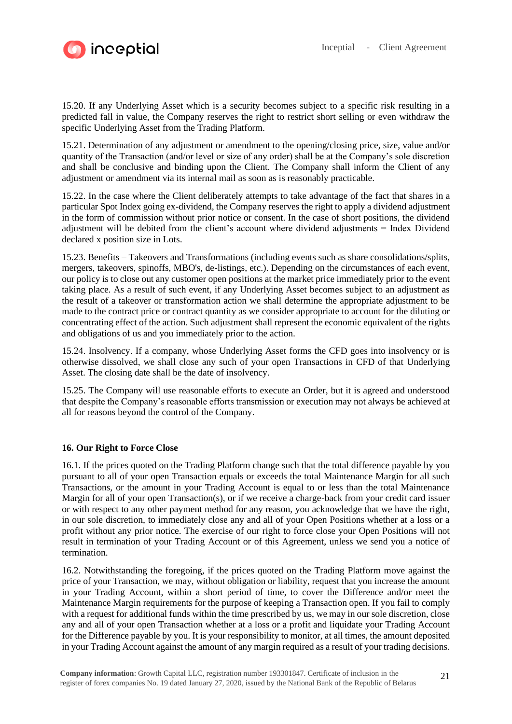

15.20. If any Underlying Asset which is a security becomes subject to a specific risk resulting in a predicted fall in value, the Company reserves the right to restrict short selling or even withdraw the specific Underlying Asset from the Trading Platform.

15.21. Determination of any adjustment or amendment to the opening/closing price, size, value and/or quantity of the Transaction (and/or level or size of any order) shall be at the Company's sole discretion and shall be conclusive and binding upon the Client. The Company shall inform the Client of any adjustment or amendment via its internal mail as soon as is reasonably practicable.

15.22. In the case where the Client deliberately attempts to take advantage of the fact that shares in a particular Spot Index going ex-dividend, the Company reserves the right to apply a dividend adjustment in the form of commission without prior notice or consent. In the case of short positions, the dividend adjustment will be debited from the client's account where dividend adjustments = Index Dividend declared x position size in Lots.

15.23. Benefits – Takeovers and Transformations (including events such as share consolidations/splits, mergers, takeovers, spinoffs, MBO's, de-listings, etc.). Depending on the circumstances of each event, our policy is to close out any customer open positions at the market price immediately prior to the event taking place. As a result of such event, if any Underlying Asset becomes subject to an adjustment as the result of a takeover or transformation action we shall determine the appropriate adjustment to be made to the contract price or contract quantity as we consider appropriate to account for the diluting or concentrating effect of the action. Such adjustment shall represent the economic equivalent of the rights and obligations of us and you immediately prior to the action.

15.24. Insolvency. If a company, whose Underlying Asset forms the CFD goes into insolvency or is otherwise dissolved, we shall close any such of your open Transactions in CFD of that Underlying Asset. The closing date shall be the date of insolvency.

15.25. The Company will use reasonable efforts to execute an Order, but it is agreed and understood that despite the Company's reasonable efforts transmission or execution may not always be achieved at all for reasons beyond the control of the Company.

## **16. Our Right to Force Close**

16.1. If the prices quoted on the Trading Platform change such that the total difference payable by you pursuant to all of your open Transaction equals or exceeds the total Maintenance Margin for all such Transactions, or the amount in your Trading Account is equal to or less than the total Maintenance Margin for all of your open Transaction(s), or if we receive a charge-back from your credit card issuer or with respect to any other payment method for any reason, you acknowledge that we have the right, in our sole discretion, to immediately close any and all of your Open Positions whether at a loss or a profit without any prior notice. The exercise of our right to force close your Open Positions will not result in termination of your Trading Account or of this Agreement, unless we send you a notice of termination.

16.2. Notwithstanding the foregoing, if the prices quoted on the Trading Platform move against the price of your Transaction, we may, without obligation or liability, request that you increase the amount in your Trading Account, within a short period of time, to cover the Difference and/or meet the Maintenance Margin requirements for the purpose of keeping a Transaction open. If you fail to comply with a request for additional funds within the time prescribed by us, we may in our sole discretion, close any and all of your open Transaction whether at a loss or a profit and liquidate your Trading Account for the Difference payable by you. It is your responsibility to monitor, at all times, the amount deposited in your Trading Account against the amount of any margin required as a result of your trading decisions.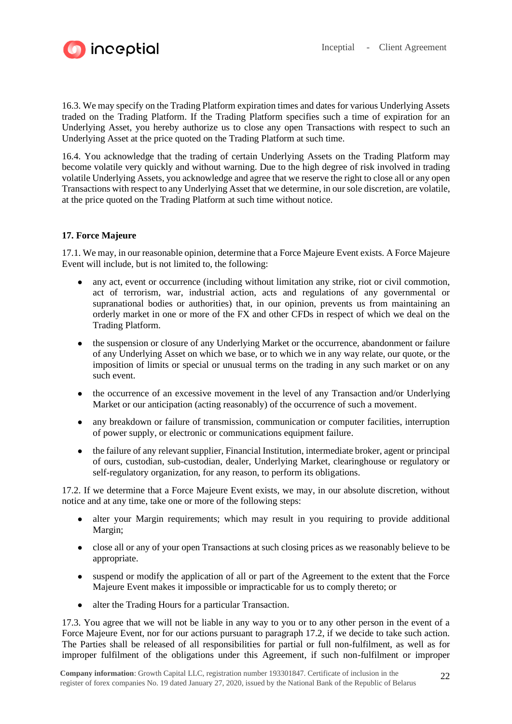

16.3. We may specify on the Trading Platform expiration times and dates for various Underlying Assets traded on the Trading Platform. If the Trading Platform specifies such a time of expiration for an Underlying Asset, you hereby authorize us to close any open Transactions with respect to such an Underlying Asset at the price quoted on the Trading Platform at such time.

16.4. You acknowledge that the trading of certain Underlying Assets on the Trading Platform may become volatile very quickly and without warning. Due to the high degree of risk involved in trading volatile Underlying Assets, you acknowledge and agree that we reserve the right to close all or any open Transactions with respect to any Underlying Asset that we determine, in our sole discretion, are volatile, at the price quoted on the Trading Platform at such time without notice.

# **17. Force Majeure**

17.1. We may, in our reasonable opinion, determine that a Force Majeure Event exists. A Force Majeure Event will include, but is not limited to, the following:

- any act, event or occurrence (including without limitation any strike, riot or civil commotion, act of terrorism, war, industrial action, acts and regulations of any governmental or supranational bodies or authorities) that, in our opinion, prevents us from maintaining an orderly market in one or more of the FX and other CFDs in respect of which we deal on the Trading Platform.
- the suspension or closure of any Underlying Market or the occurrence, abandonment or failure of any Underlying Asset on which we base, or to which we in any way relate, our quote, or the imposition of limits or special or unusual terms on the trading in any such market or on any such event.
- the occurrence of an excessive movement in the level of any Transaction and/or Underlying Market or our anticipation (acting reasonably) of the occurrence of such a movement.
- any breakdown or failure of transmission, communication or computer facilities, interruption of power supply, or electronic or communications equipment failure.
- the failure of any relevant supplier, Financial Institution, intermediate broker, agent or principal of ours, custodian, sub-custodian, dealer, Underlying Market, clearinghouse or regulatory or self-regulatory organization, for any reason, to perform its obligations.

17.2. If we determine that a Force Majeure Event exists, we may, in our absolute discretion, without notice and at any time, take one or more of the following steps:

- alter your Margin requirements; which may result in you requiring to provide additional Margin;
- close all or any of your open Transactions at such closing prices as we reasonably believe to be appropriate.
- suspend or modify the application of all or part of the Agreement to the extent that the Force Majeure Event makes it impossible or impracticable for us to comply thereto; or
- alter the Trading Hours for a particular Transaction.

17.3. You agree that we will not be liable in any way to you or to any other person in the event of a Force Majeure Event, nor for our actions pursuant to paragraph 17.2, if we decide to take such action. The Parties shall be released of all responsibilities for partial or full non-fulfilment, as well as for improper fulfilment of the obligations under this Agreement, if such non-fulfilment or improper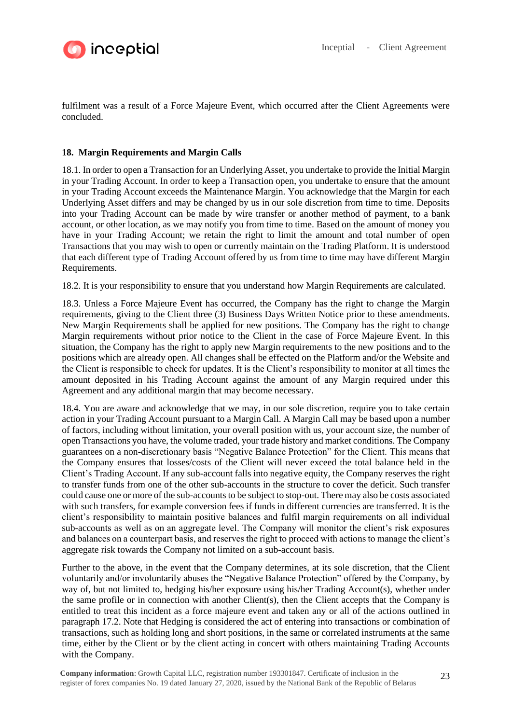

fulfilment was a result of a Force Majeure Event, which occurred after the Client Agreements were concluded.

# **18. Margin Requirements and Margin Calls**

18.1. In order to open a Transaction for an Underlying Asset, you undertake to provide the Initial Margin in your Trading Account. In order to keep a Transaction open, you undertake to ensure that the amount in your Trading Account exceeds the Maintenance Margin. You acknowledge that the Margin for each Underlying Asset differs and may be changed by us in our sole discretion from time to time. Deposits into your Trading Account can be made by wire transfer or another method of payment, to a bank account, or other location, as we may notify you from time to time. Based on the amount of money you have in your Trading Account; we retain the right to limit the amount and total number of open Transactions that you may wish to open or currently maintain on the Trading Platform. It is understood that each different type of Trading Account offered by us from time to time may have different Margin Requirements.

18.2. It is your responsibility to ensure that you understand how Margin Requirements are calculated.

18.3. Unless a Force Majeure Event has occurred, the Company has the right to change the Margin requirements, giving to the Client three (3) Business Days Written Notice prior to these amendments. New Margin Requirements shall be applied for new positions. The Company has the right to change Margin requirements without prior notice to the Client in the case of Force Majeure Event. In this situation, the Company has the right to apply new Margin requirements to the new positions and to the positions which are already open. All changes shall be effected on the Platform and/or the Website and the Client is responsible to check for updates. It is the Client's responsibility to monitor at all times the amount deposited in his Trading Account against the amount of any Margin required under this Agreement and any additional margin that may become necessary.

18.4. You are aware and acknowledge that we may, in our sole discretion, require you to take certain action in your Trading Account pursuant to a Margin Call. A Margin Call may be based upon a number of factors, including without limitation, your overall position with us, your account size, the number of open Transactions you have, the volume traded, your trade history and market conditions. The Company guarantees on a non-discretionary basis "Negative Balance Protection" for the Client. This means that the Company ensures that losses/costs of the Client will never exceed the total balance held in the Client's Trading Account. If any sub-account falls into negative equity, the Company reserves the right to transfer funds from one of the other sub-accounts in the structure to cover the deficit. Such transfer could cause one or more of the sub-accounts to be subject to stop-out. There may also be costs associated with such transfers, for example conversion fees if funds in different currencies are transferred. It is the client's responsibility to maintain positive balances and fulfil margin requirements on all individual sub-accounts as well as on an aggregate level. The Company will monitor the client's risk exposures and balances on a counterpart basis, and reserves the right to proceed with actions to manage the client's aggregate risk towards the Company not limited on a sub-account basis.

Further to the above, in the event that the Company determines, at its sole discretion, that the Client voluntarily and/or involuntarily abuses the "Negative Balance Protection" offered by the Company, by way of, but not limited to, hedging his/her exposure using his/her Trading Account(s), whether under the same profile or in connection with another  $Client(s)$ , then the Client accepts that the Company is entitled to treat this incident as a force majeure event and taken any or all of the actions outlined in paragraph 17.2. Note that Hedging is considered the act of entering into transactions or combination of transactions, such as holding long and short positions, in the same or correlated instruments at the same time, either by the Client or by the client acting in concert with others maintaining Trading Accounts with the Company.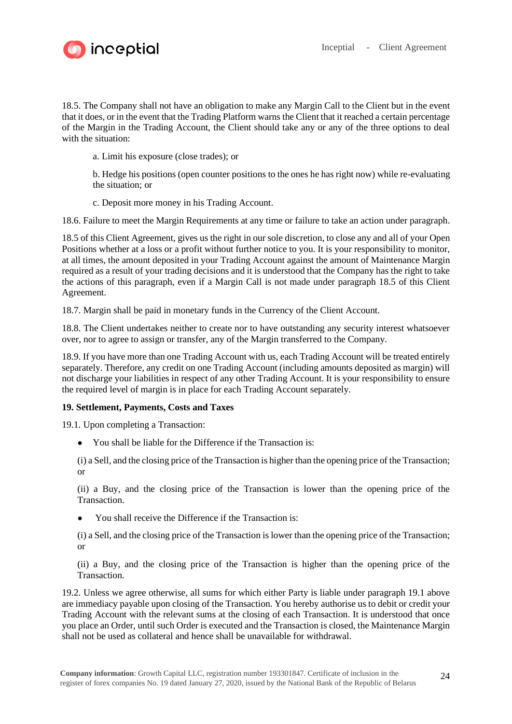

18.5. The Company shall not have an obligation to make any Margin Call to the Client but in the event that it does, or in the event that the Trading Platform warns the Client that it reached a certain percentage of the Margin in the Trading Account, the Client should take any or any of the three options to deal with the situation:

a. Limit his exposure (close trades); or

b. Hedge his positions (open counter positions to the ones he has right now) while re-evaluating the situation; or

c. Deposit more money in his Trading Account.

18.6. Failure to meet the Margin Requirements at any time or failure to take an action under paragraph.

18.5 of this Client Agreement, gives us the right in our sole discretion, to close any and all of your Open Positions whether at a loss or a profit without further notice to you. It is your responsibility to monitor, at all times, the amount deposited in your Trading Account against the amount of Maintenance Margin required as a result of your trading decisions and it is understood that the Company has the right to take the actions of this paragraph, even if a Margin Call is not made under paragraph 18.5 of this Client Agreement.

18.7. Margin shall be paid in monetary funds in the Currency of the Client Account.

18.8. The Client undertakes neither to create nor to have outstanding any security interest whatsoever over, nor to agree to assign or transfer, any of the Margin transferred to the Company.

18.9. If you have more than one Trading Account with us, each Trading Account will be treated entirely separately. Therefore, any credit on one Trading Account (including amounts deposited as margin) will not discharge your liabilities in respect of any other Trading Account. It is your responsibility to ensure the required level of margin is in place for each Trading Account separately.

## **19. Settlement, Payments, Costs and Taxes**

19.1. Upon completing a Transaction:

● You shall be liable for the Difference if the Transaction is:

(i) a Sell, and the closing price of the Transaction is higher than the opening price of the Transaction; or

(ii) a Buy, and the closing price of the Transaction is lower than the opening price of the Transaction.

You shall receive the Difference if the Transaction is:

(i) a Sell, and the closing price of the Transaction is lower than the opening price of the Transaction; or

(ii) a Buy, and the closing price of the Transaction is higher than the opening price of the **Transaction** 

19.2. Unless we agree otherwise, all sums for which either Party is liable under paragraph 19.1 above are immediacy payable upon closing of the Transaction. You hereby authorise us to debit or credit your Trading Account with the relevant sums at the closing of each Transaction. It is understood that once you place an Order, until such Order is executed and the Transaction is closed, the Maintenance Margin shall not be used as collateral and hence shall be unavailable for withdrawal.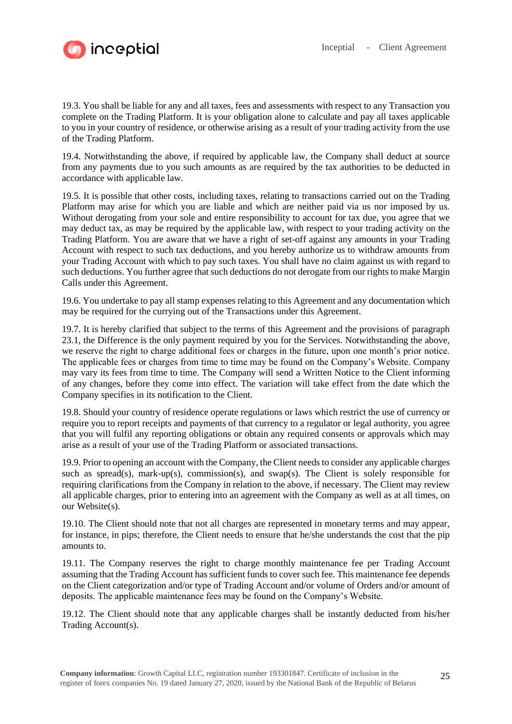

19.3. You shall be liable for any and all taxes, fees and assessments with respect to any Transaction you complete on the Trading Platform. It is your obligation alone to calculate and pay all taxes applicable to you in your country of residence, or otherwise arising as a result of your trading activity from the use of the Trading Platform.

19.4. Notwithstanding the above, if required by applicable law, the Company shall deduct at source from any payments due to you such amounts as are required by the tax authorities to be deducted in accordance with applicable law.

19.5. It is possible that other costs, including taxes, relating to transactions carried out on the Trading Platform may arise for which you are liable and which are neither paid via us nor imposed by us. Without derogating from your sole and entire responsibility to account for tax due, you agree that we may deduct tax, as may be required by the applicable law, with respect to your trading activity on the Trading Platform. You are aware that we have a right of set-off against any amounts in your Trading Account with respect to such tax deductions, and you hereby authorize us to withdraw amounts from your Trading Account with which to pay such taxes. You shall have no claim against us with regard to such deductions. You further agree that such deductions do not derogate from our rights to make Margin Calls under this Agreement.

19.6. You undertake to pay all stamp expenses relating to this Agreement and any documentation which may be required for the currying out of the Transactions under this Agreement.

19.7. It is hereby clarified that subject to the terms of this Agreement and the provisions of paragraph 23.1, the Difference is the only payment required by you for the Services. Notwithstanding the above, we reserve the right to charge additional fees or charges in the future, upon one month's prior notice. The applicable fees or charges from time to time may be found on the Company's Website. Company may vary its fees from time to time. The Company will send a Written Notice to the Client informing of any changes, before they come into effect. The variation will take effect from the date which the Company specifies in its notification to the Client.

19.8. Should your country of residence operate regulations or laws which restrict the use of currency or require you to report receipts and payments of that currency to a regulator or legal authority, you agree that you will fulfil any reporting obligations or obtain any required consents or approvals which may arise as a result of your use of the Trading Platform or associated transactions.

19.9. Prior to opening an account with the Company, the Client needs to consider any applicable charges such as spread(s), mark-up(s), commission(s), and swap(s). The Client is solely responsible for requiring clarifications from the Company in relation to the above, if necessary. The Client may review all applicable charges, prior to entering into an agreement with the Company as well as at all times, on our Website(s).

19.10. The Client should note that not all charges are represented in monetary terms and may appear, for instance, in pips; therefore, the Client needs to ensure that he/she understands the cost that the pip amounts to.

19.11. The Company reserves the right to charge monthly maintenance fee per Trading Account assuming that the Trading Account has sufficient funds to cover such fee. This maintenance fee depends on the Client categorization and/or type of Trading Account and/or volume of Orders and/or amount of deposits. The applicable maintenance fees may be found on the Company's Website.

19.12. The Client should note that any applicable charges shall be instantly deducted from his/her Trading Account(s).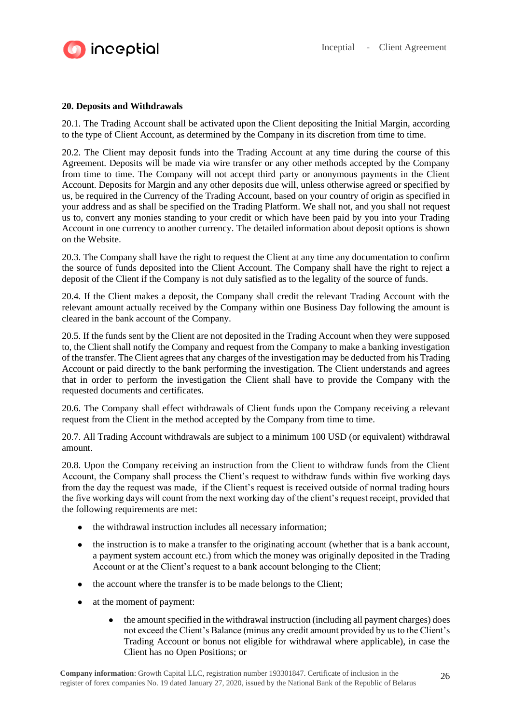

# **20. Deposits and Withdrawals**

20.1. The Trading Account shall be activated upon the Client depositing the Initial Margin, according to the type of Client Account, as determined by the Company in its discretion from time to time.

20.2. The Client may deposit funds into the Trading Account at any time during the course of this Agreement. Deposits will be made via wire transfer or any other methods accepted by the Company from time to time. The Company will not accept third party or anonymous payments in the Client Account. Deposits for Margin and any other deposits due will, unless otherwise agreed or specified by us, be required in the Currency of the Trading Account, based on your country of origin as specified in your address and as shall be specified on the Trading Platform. We shall not, and you shall not request us to, convert any monies standing to your credit or which have been paid by you into your Trading Account in one currency to another currency. The detailed information about deposit options is shown on the Website.

20.3. The Company shall have the right to request the Client at any time any documentation to confirm the source of funds deposited into the Client Account. The Company shall have the right to reject a deposit of the Client if the Company is not duly satisfied as to the legality of the source of funds.

20.4. If the Client makes a deposit, the Company shall credit the relevant Trading Account with the relevant amount actually received by the Company within one Business Day following the amount is cleared in the bank account of the Company.

20.5. If the funds sent by the Client are not deposited in the Trading Account when they were supposed to, the Client shall notify the Company and request from the Company to make a banking investigation of the transfer. The Client agrees that any charges of the investigation may be deducted from his Trading Account or paid directly to the bank performing the investigation. The Client understands and agrees that in order to perform the investigation the Client shall have to provide the Company with the requested documents and certificates.

20.6. The Company shall effect withdrawals of Client funds upon the Company receiving a relevant request from the Client in the method accepted by the Company from time to time.

20.7. All Trading Account withdrawals are subject to a minimum 100 USD (or equivalent) withdrawal amount.

20.8. Upon the Company receiving an instruction from the Client to withdraw funds from the Client Account, the Company shall process the Client's request to withdraw funds within five working days from the day the request was made, if the Client's request is received outside of normal trading hours the five working days will count from the next working day of the client's request receipt, provided that the following requirements are met:

- the withdrawal instruction includes all necessary information;
- the instruction is to make a transfer to the originating account (whether that is a bank account, a payment system account etc.) from which the money was originally deposited in the Trading Account or at the Client's request to a bank account belonging to the Client;
- the account where the transfer is to be made belongs to the Client;
- at the moment of payment:
	- the amount specified in the withdrawal instruction (including all payment charges) does not exceed the Client's Balance (minus any credit amount provided by us to the Client's Trading Account or bonus not eligible for withdrawal where applicable), in case the Client has no Open Positions; or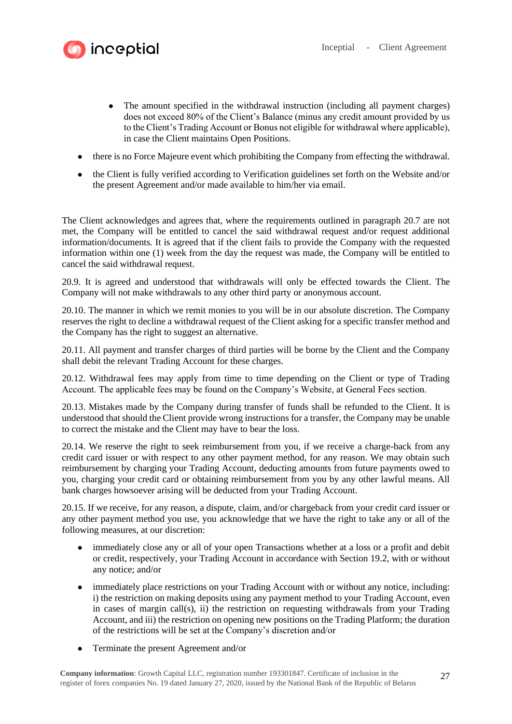

- The amount specified in the withdrawal instruction (including all payment charges) does not exceed 80% of the Client's Balance (minus any credit amount provided by us to the Client's Trading Account or Bonus not eligible for withdrawal where applicable), in case the Client maintains Open Positions.
- there is no Force Majeure event which prohibiting the Company from effecting the withdrawal.
- the Client is fully verified according to Verification guidelines set forth on the Website and/or the present Agreement and/or made available to him/her via email.

The Client acknowledges and agrees that, where the requirements outlined in paragraph 20.7 are not met, the Company will be entitled to cancel the said withdrawal request and/or request additional information/documents. It is agreed that if the client fails to provide the Company with the requested information within one (1) week from the day the request was made, the Company will be entitled to cancel the said withdrawal request.

20.9. It is agreed and understood that withdrawals will only be effected towards the Client. The Company will not make withdrawals to any other third party or anonymous account.

20.10. The manner in which we remit monies to you will be in our absolute discretion. The Company reserves the right to decline a withdrawal request of the Client asking for a specific transfer method and the Company has the right to suggest an alternative.

20.11. All payment and transfer charges of third parties will be borne by the Client and the Company shall debit the relevant Trading Account for these charges.

20.12. Withdrawal fees may apply from time to time depending on the Client or type of Trading Account. The applicable fees may be found on the Company's Website, at General Fees section.

20.13. Mistakes made by the Company during transfer of funds shall be refunded to the Client. It is understood that should the Client provide wrong instructions for a transfer, the Company may be unable to correct the mistake and the Client may have to bear the loss.

20.14. We reserve the right to seek reimbursement from you, if we receive a charge-back from any credit card issuer or with respect to any other payment method, for any reason. We may obtain such reimbursement by charging your Trading Account, deducting amounts from future payments owed to you, charging your credit card or obtaining reimbursement from you by any other lawful means. All bank charges howsoever arising will be deducted from your Trading Account.

20.15. If we receive, for any reason, a dispute, claim, and/or chargeback from your credit card issuer or any other payment method you use, you acknowledge that we have the right to take any or all of the following measures, at our discretion:

- immediately close any or all of your open Transactions whether at a loss or a profit and debit or credit, respectively, your Trading Account in accordance with Section 19.2, with or without any notice; and/or
- immediately place restrictions on your Trading Account with or without any notice, including: i) the restriction on making deposits using any payment method to your Trading Account, even in cases of margin call(s), ii) the restriction on requesting withdrawals from your Trading Account, and iii) the restriction on opening new positions on the Trading Platform; the duration of the restrictions will be set at the Company's discretion and/or
- Terminate the present Agreement and/or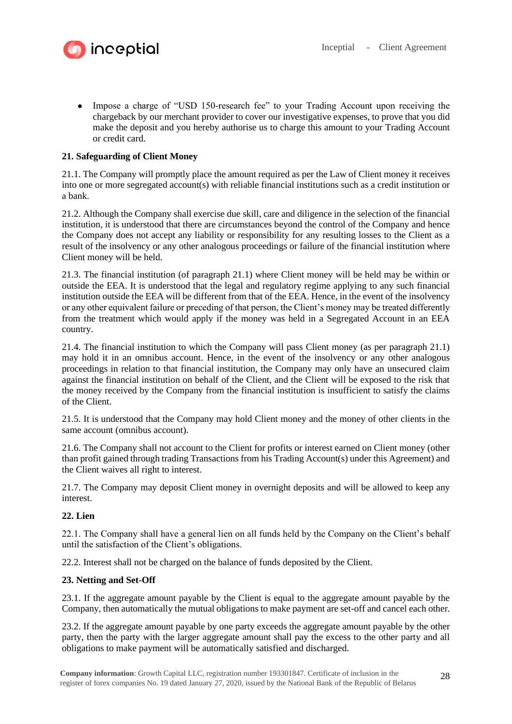

• Impose a charge of "USD 150-research fee" to your Trading Account upon receiving the chargeback by our merchant provider to cover our investigative expenses, to prove that you did make the deposit and you hereby authorise us to charge this amount to your Trading Account or credit card.

# **21. Safeguarding of Client Money**

21.1. The Company will promptly place the amount required as per the Law of Client money it receives into one or more segregated account(s) with reliable financial institutions such as a credit institution or a bank.

21.2. Although the Company shall exercise due skill, care and diligence in the selection of the financial institution, it is understood that there are circumstances beyond the control of the Company and hence the Company does not accept any liability or responsibility for any resulting losses to the Client as a result of the insolvency or any other analogous proceedings or failure of the financial institution where Client money will be held.

21.3. The financial institution (of paragraph 21.1) where Client money will be held may be within or outside the EEA. It is understood that the legal and regulatory regime applying to any such financial institution outside the EEA will be different from that of the EEA. Hence, in the event of the insolvency or any other equivalent failure or preceding of that person, the Client's money may be treated differently from the treatment which would apply if the money was held in a Segregated Account in an EEA country.

21.4. The financial institution to which the Company will pass Client money (as per paragraph 21.1) may hold it in an omnibus account. Hence, in the event of the insolvency or any other analogous proceedings in relation to that financial institution, the Company may only have an unsecured claim against the financial institution on behalf of the Client, and the Client will be exposed to the risk that the money received by the Company from the financial institution is insufficient to satisfy the claims of the Client.

21.5. It is understood that the Company may hold Client money and the money of other clients in the same account (omnibus account).

21.6. The Company shall not account to the Client for profits or interest earned on Client money (other than profit gained through trading Transactions from his Trading Account(s) under this Agreement) and the Client waives all right to interest.

21.7. The Company may deposit Client money in overnight deposits and will be allowed to keep any interest.

## **22. Lien**

22.1. The Company shall have a general lien on all funds held by the Company on the Client's behalf until the satisfaction of the Client's obligations.

22.2. Interest shall not be charged on the balance of funds deposited by the Client.

### **23. Netting and Set-Off**

23.1. If the aggregate amount payable by the Client is equal to the aggregate amount payable by the Company, then automatically the mutual obligations to make payment are set-off and cancel each other.

23.2. If the aggregate amount payable by one party exceeds the aggregate amount payable by the other party, then the party with the larger aggregate amount shall pay the excess to the other party and all obligations to make payment will be automatically satisfied and discharged.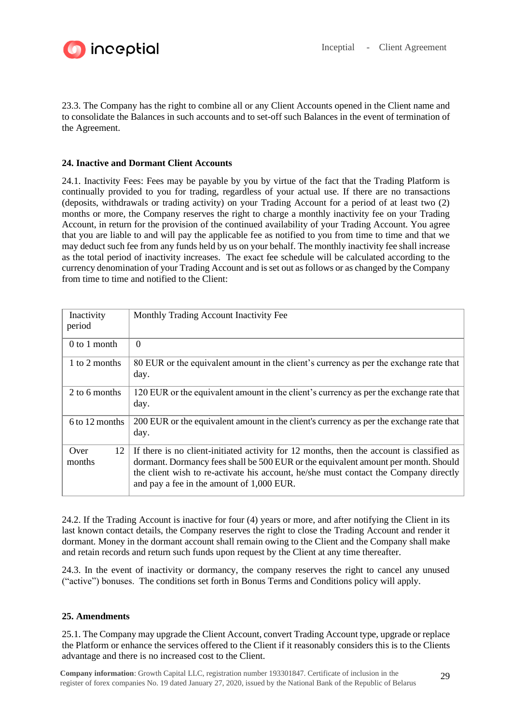

23.3. The Company has the right to combine all or any Client Accounts opened in the Client name and to consolidate the Balances in such accounts and to set-off such Balances in the event of termination of the Agreement.

# **24. Inactive and Dormant Client Accounts**

24.1. Inactivity Fees: Fees may be payable by you by virtue of the fact that the Trading Platform is continually provided to you for trading, regardless of your actual use. If there are no transactions (deposits, withdrawals or trading activity) on your Trading Account for a period of at least two (2) months or more, the Company reserves the right to charge a monthly inactivity fee on your Trading Account, in return for the provision of the continued availability of your Trading Account. You agree that you are liable to and will pay the applicable fee as notified to you from time to time and that we may deduct such fee from any funds held by us on your behalf. The monthly inactivity fee shall increase as the total period of inactivity increases. The exact fee schedule will be calculated according to the currency denomination of your Trading Account and is set out as follows or as changed by the Company from time to time and notified to the Client:

| Inactivity<br>period | Monthly Trading Account Inactivity Fee                                                                                                                                                                                                                                                                               |
|----------------------|----------------------------------------------------------------------------------------------------------------------------------------------------------------------------------------------------------------------------------------------------------------------------------------------------------------------|
| $0$ to 1 month       | $\Omega$                                                                                                                                                                                                                                                                                                             |
| 1 to 2 months        | 80 EUR or the equivalent amount in the client's currency as per the exchange rate that<br>day.                                                                                                                                                                                                                       |
| 2 to 6 months        | 120 EUR or the equivalent amount in the client's currency as per the exchange rate that<br>day.                                                                                                                                                                                                                      |
| 6 to 12 months       | 200 EUR or the equivalent amount in the client's currency as per the exchange rate that<br>day.                                                                                                                                                                                                                      |
| Over<br>12<br>months | If there is no client-initiated activity for 12 months, then the account is classified as<br>dormant. Dormancy fees shall be 500 EUR or the equivalent amount per month. Should<br>the client wish to re-activate his account, he/she must contact the Company directly<br>and pay a fee in the amount of 1,000 EUR. |

24.2. If the Trading Account is inactive for four (4) years or more, and after notifying the Client in its last known contact details, the Company reserves the right to close the Trading Account and render it dormant. Money in the dormant account shall remain owing to the Client and the Company shall make and retain records and return such funds upon request by the Client at any time thereafter.

24.3. In the event of inactivity or dormancy, the company reserves the right to cancel any unused ("active") bonuses. The conditions set forth in Bonus Terms and Conditions policy will apply.

## **25. Amendments**

25.1. The Company may upgrade the Client Account, convert Trading Account type, upgrade or replace the Platform or enhance the services offered to the Client if it reasonably considers this is to the Clients advantage and there is no increased cost to the Client.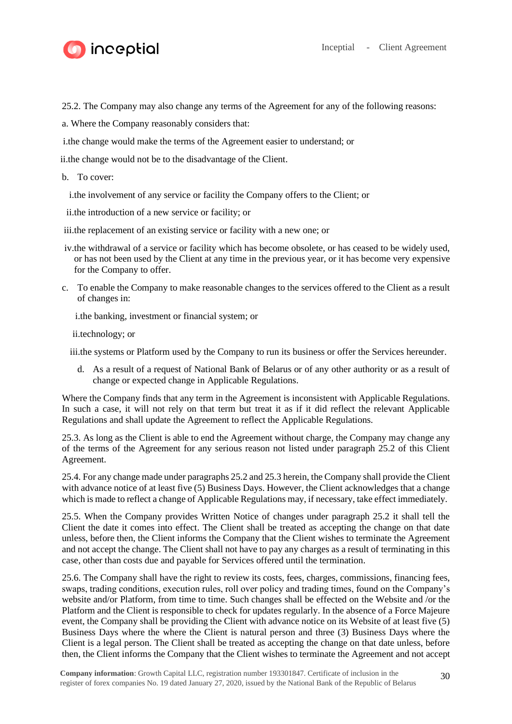

25.2. The Company may also change any terms of the Agreement for any of the following reasons:

- a. Where the Company reasonably considers that:
- i.the change would make the terms of the Agreement easier to understand; or

ii.the change would not be to the disadvantage of the Client.

- b. To cover:
	- i.the involvement of any service or facility the Company offers to the Client; or
- ii.the introduction of a new service or facility; or
- iii.the replacement of an existing service or facility with a new one; or
- iv.the withdrawal of a service or facility which has become obsolete, or has ceased to be widely used, or has not been used by the Client at any time in the previous year, or it has become very expensive for the Company to offer.
- c. To enable the Company to make reasonable changes to the services offered to the Client as a result of changes in:

i.the banking, investment or financial system; or

ii.technology; or

iii.the systems or Platform used by the Company to run its business or offer the Services hereunder.

d. As a result of a request of National Bank of Belarus or of any other authority or as a result of change or expected change in Applicable Regulations.

Where the Company finds that any term in the Agreement is inconsistent with Applicable Regulations. In such a case, it will not rely on that term but treat it as if it did reflect the relevant Applicable Regulations and shall update the Agreement to reflect the Applicable Regulations.

25.3. As long as the Client is able to end the Agreement without charge, the Company may change any of the terms of the Agreement for any serious reason not listed under paragraph 25.2 of this Client Agreement.

25.4. For any change made under paragraphs 25.2 and 25.3 herein, the Company shall provide the Client with advance notice of at least five (5) Business Days. However, the Client acknowledges that a change which is made to reflect a change of Applicable Regulations may, if necessary, take effect immediately.

25.5. When the Company provides Written Notice of changes under paragraph 25.2 it shall tell the Client the date it comes into effect. The Client shall be treated as accepting the change on that date unless, before then, the Client informs the Company that the Client wishes to terminate the Agreement and not accept the change. The Client shall not have to pay any charges as a result of terminating in this case, other than costs due and payable for Services offered until the termination.

25.6. The Company shall have the right to review its costs, fees, charges, commissions, financing fees, swaps, trading conditions, execution rules, roll over policy and trading times, found on the Company's website and/or Platform, from time to time. Such changes shall be effected on the Website and /or the Platform and the Client is responsible to check for updates regularly. In the absence of a Force Majeure event, the Company shall be providing the Client with advance notice on its Website of at least five (5) Business Days where the where the Client is natural person and three (3) Business Days where the Client is a legal person. The Client shall be treated as accepting the change on that date unless, before then, the Client informs the Company that the Client wishes to terminate the Agreement and not accept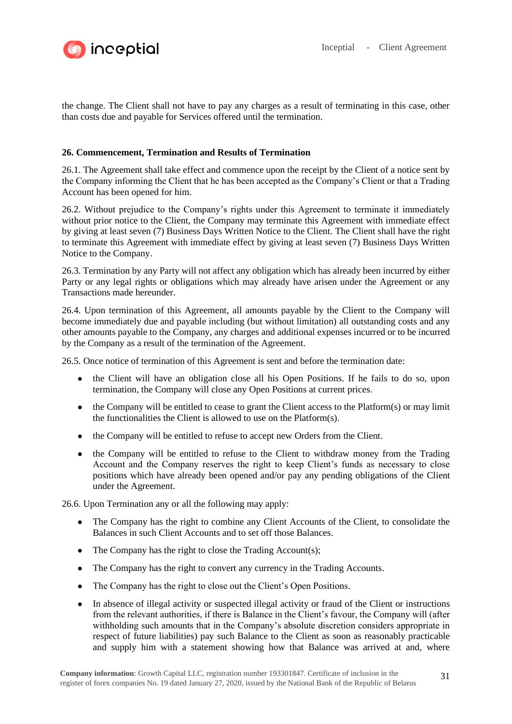

the change. The Client shall not have to pay any charges as a result of terminating in this case, other than costs due and payable for Services offered until the termination.

## **26. Commencement, Termination and Results of Termination**

26.1. The Agreement shall take effect and commence upon the receipt by the Client of a notice sent by the Company informing the Client that he has been accepted as the Company's Client or that a Trading Account has been opened for him.

26.2. Without prejudice to the Company's rights under this Agreement to terminate it immediately without prior notice to the Client, the Company may terminate this Agreement with immediate effect by giving at least seven (7) Business Days Written Notice to the Client. The Client shall have the right to terminate this Agreement with immediate effect by giving at least seven (7) Business Days Written Notice to the Company.

26.3. Termination by any Party will not affect any obligation which has already been incurred by either Party or any legal rights or obligations which may already have arisen under the Agreement or any Transactions made hereunder.

26.4. Upon termination of this Agreement, all amounts payable by the Client to the Company will become immediately due and payable including (but without limitation) all outstanding costs and any other amounts payable to the Company, any charges and additional expenses incurred or to be incurred by the Company as a result of the termination of the Agreement.

26.5. Once notice of termination of this Agreement is sent and before the termination date:

- the Client will have an obligation close all his Open Positions. If he fails to do so, upon termination, the Company will close any Open Positions at current prices.
- $\bullet$  the Company will be entitled to cease to grant the Client access to the Platform(s) or may limit the functionalities the Client is allowed to use on the Platform(s).
- the Company will be entitled to refuse to accept new Orders from the Client.
- the Company will be entitled to refuse to the Client to withdraw money from the Trading Account and the Company reserves the right to keep Client's funds as necessary to close positions which have already been opened and/or pay any pending obligations of the Client under the Agreement.

26.6. Upon Termination any or all the following may apply:

- The Company has the right to combine any Client Accounts of the Client, to consolidate the Balances in such Client Accounts and to set off those Balances.
- $\bullet$  The Company has the right to close the Trading Account(s);
- The Company has the right to convert any currency in the Trading Accounts.
- The Company has the right to close out the Client's Open Positions.
- In absence of illegal activity or suspected illegal activity or fraud of the Client or instructions from the relevant authorities, if there is Balance in the Client's favour, the Company will (after withholding such amounts that in the Company's absolute discretion considers appropriate in respect of future liabilities) pay such Balance to the Client as soon as reasonably practicable and supply him with a statement showing how that Balance was arrived at and, where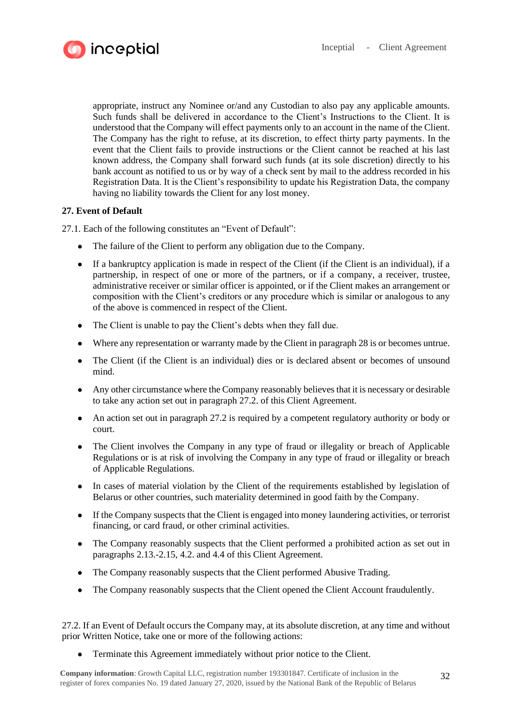

appropriate, instruct any Nominee or/and any Custodian to also pay any applicable amounts. Such funds shall be delivered in accordance to the Client's Instructions to the Client. It is understood that the Company will effect payments only to an account in the name of the Client. The Company has the right to refuse, at its discretion, to effect thirty party payments. In the event that the Client fails to provide instructions or the Client cannot be reached at his last known address, the Company shall forward such funds (at its sole discretion) directly to his bank account as notified to us or by way of a check sent by mail to the address recorded in his Registration Data. It is the Client's responsibility to update his Registration Data, the company having no liability towards the Client for any lost money.

# **27. Event of Default**

27.1. Each of the following constitutes an "Event of Default":

- The failure of the Client to perform any obligation due to the Company.
- If a bankruptcy application is made in respect of the Client (if the Client is an individual), if a partnership, in respect of one or more of the partners, or if a company, a receiver, trustee, administrative receiver or similar officer is appointed, or if the Client makes an arrangement or composition with the Client's creditors or any procedure which is similar or analogous to any of the above is commenced in respect of the Client.
- The Client is unable to pay the Client's debts when they fall due.
- Where any representation or warranty made by the Client in paragraph 28 is or becomes untrue.
- The Client (if the Client is an individual) dies or is declared absent or becomes of unsound mind.
- Any other circumstance where the Company reasonably believes that it is necessary or desirable to take any action set out in paragraph 27.2. of this Client Agreement.
- An action set out in paragraph 27.2 is required by a competent regulatory authority or body or court.
- The Client involves the Company in any type of fraud or illegality or breach of Applicable Regulations or is at risk of involving the Company in any type of fraud or illegality or breach of Applicable Regulations.
- In cases of material violation by the Client of the requirements established by legislation of Belarus or other countries, such materiality determined in good faith by the Company.
- If the Company suspects that the Client is engaged into money laundering activities, or terrorist financing, or card fraud, or other criminal activities.
- The Company reasonably suspects that the Client performed a prohibited action as set out in paragraphs 2.13.-2.15, 4.2. and 4.4 of this Client Agreement.
- The Company reasonably suspects that the Client performed Abusive Trading.
- The Company reasonably suspects that the Client opened the Client Account fraudulently.

27.2. If an Event of Default occurs the Company may, at its absolute discretion, at any time and without prior Written Notice, take one or more of the following actions:

• Terminate this Agreement immediately without prior notice to the Client.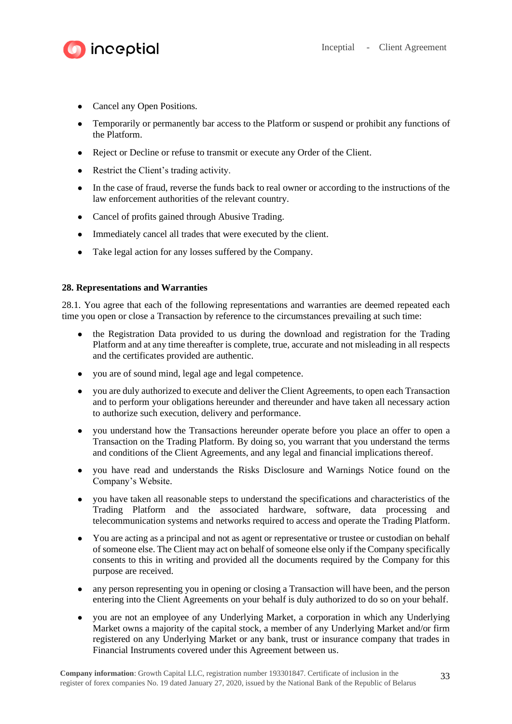

- Cancel any Open Positions.
- Temporarily or permanently bar access to the Platform or suspend or prohibit any functions of the Platform.
- Reject or Decline or refuse to transmit or execute any Order of the Client.
- Restrict the Client's trading activity.
- In the case of fraud, reverse the funds back to real owner or according to the instructions of the law enforcement authorities of the relevant country.
- Cancel of profits gained through Abusive Trading.
- Immediately cancel all trades that were executed by the client.
- Take legal action for any losses suffered by the Company.

## **28. Representations and Warranties**

28.1. You agree that each of the following representations and warranties are deemed repeated each time you open or close a Transaction by reference to the circumstances prevailing at such time:

- the Registration Data provided to us during the download and registration for the Trading Platform and at any time thereafter is complete, true, accurate and not misleading in all respects and the certificates provided are authentic.
- you are of sound mind, legal age and legal competence.
- you are duly authorized to execute and deliver the Client Agreements, to open each Transaction and to perform your obligations hereunder and thereunder and have taken all necessary action to authorize such execution, delivery and performance.
- you understand how the Transactions hereunder operate before you place an offer to open a Transaction on the Trading Platform. By doing so, you warrant that you understand the terms and conditions of the Client Agreements, and any legal and financial implications thereof.
- you have read and understands the Risks Disclosure and Warnings Notice found on the Company's Website.
- you have taken all reasonable steps to understand the specifications and characteristics of the Trading Platform and the associated hardware, software, data processing and telecommunication systems and networks required to access and operate the Trading Platform.
- You are acting as a principal and not as agent or representative or trustee or custodian on behalf of someone else. The Client may act on behalf of someone else only if the Company specifically consents to this in writing and provided all the documents required by the Company for this purpose are received.
- any person representing you in opening or closing a Transaction will have been, and the person entering into the Client Agreements on your behalf is duly authorized to do so on your behalf.
- you are not an employee of any Underlying Market, a corporation in which any Underlying Market owns a majority of the capital stock, a member of any Underlying Market and/or firm registered on any Underlying Market or any bank, trust or insurance company that trades in Financial Instruments covered under this Agreement between us.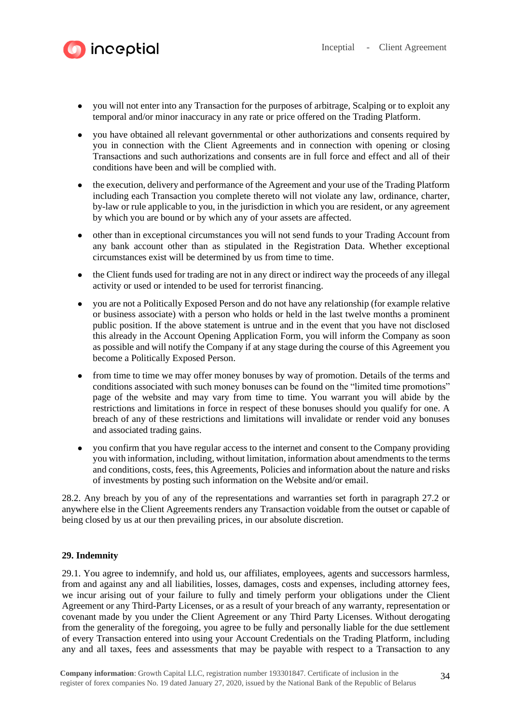

- you will not enter into any Transaction for the purposes of arbitrage, Scalping or to exploit any temporal and/or minor inaccuracy in any rate or price offered on the Trading Platform.
- you have obtained all relevant governmental or other authorizations and consents required by you in connection with the Client Agreements and in connection with opening or closing Transactions and such authorizations and consents are in full force and effect and all of their conditions have been and will be complied with.
- the execution, delivery and performance of the Agreement and your use of the Trading Platform including each Transaction you complete thereto will not violate any law, ordinance, charter, by-law or rule applicable to you, in the jurisdiction in which you are resident, or any agreement by which you are bound or by which any of your assets are affected.
- other than in exceptional circumstances you will not send funds to your Trading Account from any bank account other than as stipulated in the Registration Data. Whether exceptional circumstances exist will be determined by us from time to time.
- the Client funds used for trading are not in any direct or indirect way the proceeds of any illegal activity or used or intended to be used for terrorist financing.
- you are not a Politically Exposed Person and do not have any relationship (for example relative or business associate) with a person who holds or held in the last twelve months a prominent public position. If the above statement is untrue and in the event that you have not disclosed this already in the Account Opening Application Form, you will inform the Company as soon as possible and will notify the Company if at any stage during the course of this Agreement you become a Politically Exposed Person.
- from time to time we may offer money bonuses by way of promotion. Details of the terms and conditions associated with such money bonuses can be found on the "limited time promotions" page of the website and may vary from time to time. You warrant you will abide by the restrictions and limitations in force in respect of these bonuses should you qualify for one. A breach of any of these restrictions and limitations will invalidate or render void any bonuses and associated trading gains.
- you confirm that you have regular access to the internet and consent to the Company providing you with information, including, without limitation, information about amendments to the terms and conditions, costs, fees, this Agreements, Policies and information about the nature and risks of investments by posting such information on the Website and/or email.

28.2. Any breach by you of any of the representations and warranties set forth in paragraph 27.2 or anywhere else in the Client Agreements renders any Transaction voidable from the outset or capable of being closed by us at our then prevailing prices, in our absolute discretion.

## **29. Indemnity**

29.1. You agree to indemnify, and hold us, our affiliates, employees, agents and successors harmless, from and against any and all liabilities, losses, damages, costs and expenses, including attorney fees, we incur arising out of your failure to fully and timely perform your obligations under the Client Agreement or any Third-Party Licenses, or as a result of your breach of any warranty, representation or covenant made by you under the Client Agreement or any Third Party Licenses. Without derogating from the generality of the foregoing, you agree to be fully and personally liable for the due settlement of every Transaction entered into using your Account Credentials on the Trading Platform, including any and all taxes, fees and assessments that may be payable with respect to a Transaction to any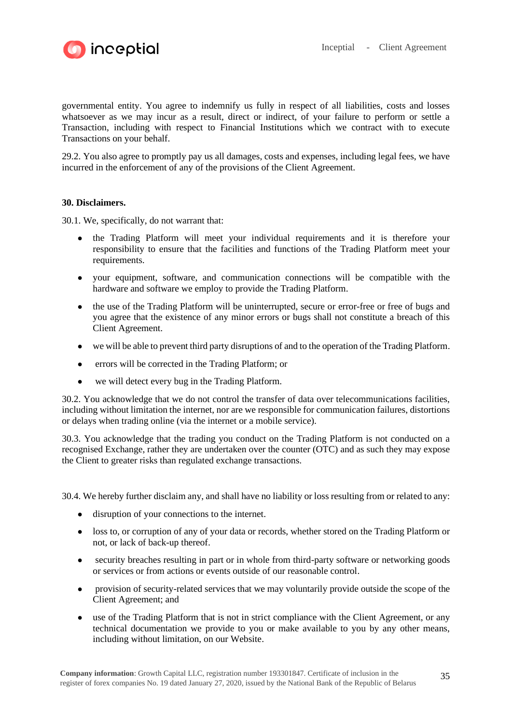

governmental entity. You agree to indemnify us fully in respect of all liabilities, costs and losses whatsoever as we may incur as a result, direct or indirect, of your failure to perform or settle a Transaction, including with respect to Financial Institutions which we contract with to execute Transactions on your behalf.

29.2. You also agree to promptly pay us all damages, costs and expenses, including legal fees, we have incurred in the enforcement of any of the provisions of the Client Agreement.

## **30. Disclaimers.**

30.1. We, specifically, do not warrant that:

- the Trading Platform will meet your individual requirements and it is therefore your responsibility to ensure that the facilities and functions of the Trading Platform meet your requirements.
- your equipment, software, and communication connections will be compatible with the hardware and software we employ to provide the Trading Platform.
- the use of the Trading Platform will be uninterrupted, secure or error-free or free of bugs and you agree that the existence of any minor errors or bugs shall not constitute a breach of this Client Agreement.
- we will be able to prevent third party disruptions of and to the operation of the Trading Platform.
- errors will be corrected in the Trading Platform; or
- we will detect every bug in the Trading Platform.

30.2. You acknowledge that we do not control the transfer of data over telecommunications facilities, including without limitation the internet, nor are we responsible for communication failures, distortions or delays when trading online (via the internet or a mobile service).

30.3. You acknowledge that the trading you conduct on the Trading Platform is not conducted on a recognised Exchange, rather they are undertaken over the counter (OTC) and as such they may expose the Client to greater risks than regulated exchange transactions.

30.4. We hereby further disclaim any, and shall have no liability or loss resulting from or related to any:

- disruption of your connections to the internet.
- loss to, or corruption of any of your data or records, whether stored on the Trading Platform or not, or lack of back-up thereof.
- security breaches resulting in part or in whole from third-party software or networking goods or services or from actions or events outside of our reasonable control.
- provision of security-related services that we may voluntarily provide outside the scope of the Client Agreement; and
- use of the Trading Platform that is not in strict compliance with the Client Agreement, or any technical documentation we provide to you or make available to you by any other means, including without limitation, on our Website.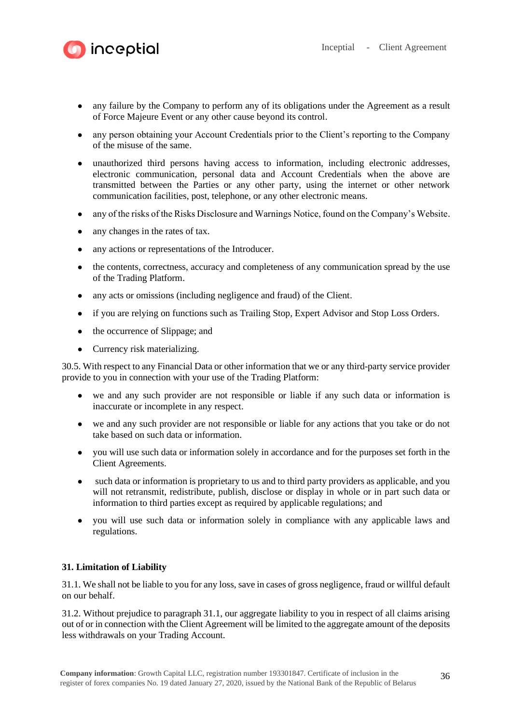

- any failure by the Company to perform any of its obligations under the Agreement as a result of Force Majeure Event or any other cause beyond its control.
- any person obtaining your Account Credentials prior to the Client's reporting to the Company of the misuse of the same.
- unauthorized third persons having access to information, including electronic addresses, electronic communication, personal data and Account Credentials when the above are transmitted between the Parties or any other party, using the internet or other network communication facilities, post, telephone, or any other electronic means.
- any of the risks of the Risks Disclosure and Warnings Notice, found on the Company's Website.
- any changes in the rates of tax.

inceptial

- any actions or representations of the Introducer.
- the contents, correctness, accuracy and completeness of any communication spread by the use of the Trading Platform.
- any acts or omissions (including negligence and fraud) of the Client.
- if you are relying on functions such as Trailing Stop, Expert Advisor and Stop Loss Orders.
- the occurrence of Slippage; and
- Currency risk materializing.

30.5. With respect to any Financial Data or other information that we or any third-party service provider provide to you in connection with your use of the Trading Platform:

- we and any such provider are not responsible or liable if any such data or information is inaccurate or incomplete in any respect.
- we and any such provider are not responsible or liable for any actions that you take or do not take based on such data or information.
- you will use such data or information solely in accordance and for the purposes set forth in the Client Agreements.
- such data or information is proprietary to us and to third party providers as applicable, and you will not retransmit, redistribute, publish, disclose or display in whole or in part such data or information to third parties except as required by applicable regulations; and
- you will use such data or information solely in compliance with any applicable laws and regulations.

## **31. Limitation of Liability**

31.1. We shall not be liable to you for any loss, save in cases of gross negligence, fraud or willful default on our behalf.

31.2. Without prejudice to paragraph 31.1, our aggregate liability to you in respect of all claims arising out of or in connection with the Client Agreement will be limited to the aggregate amount of the deposits less withdrawals on your Trading Account.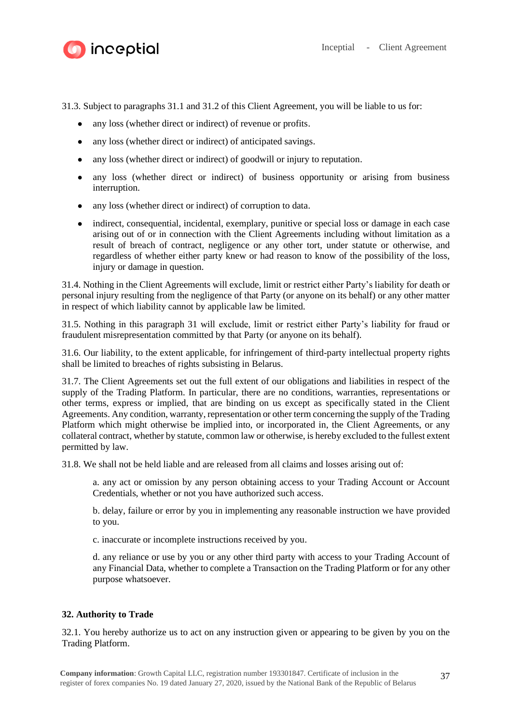

31.3. Subject to paragraphs 31.1 and 31.2 of this Client Agreement, you will be liable to us for:

- any loss (whether direct or indirect) of revenue or profits.
- any loss (whether direct or indirect) of anticipated savings.
- any loss (whether direct or indirect) of goodwill or injury to reputation.
- any loss (whether direct or indirect) of business opportunity or arising from business interruption.
- any loss (whether direct or indirect) of corruption to data.
- indirect, consequential, incidental, exemplary, punitive or special loss or damage in each case arising out of or in connection with the Client Agreements including without limitation as a result of breach of contract, negligence or any other tort, under statute or otherwise, and regardless of whether either party knew or had reason to know of the possibility of the loss, injury or damage in question.

31.4. Nothing in the Client Agreements will exclude, limit or restrict either Party's liability for death or personal injury resulting from the negligence of that Party (or anyone on its behalf) or any other matter in respect of which liability cannot by applicable law be limited.

31.5. Nothing in this paragraph 31 will exclude, limit or restrict either Party's liability for fraud or fraudulent misrepresentation committed by that Party (or anyone on its behalf).

31.6. Our liability, to the extent applicable, for infringement of third-party intellectual property rights shall be limited to breaches of rights subsisting in Belarus.

31.7. The Client Agreements set out the full extent of our obligations and liabilities in respect of the supply of the Trading Platform. In particular, there are no conditions, warranties, representations or other terms, express or implied, that are binding on us except as specifically stated in the Client Agreements. Any condition, warranty, representation or other term concerning the supply of the Trading Platform which might otherwise be implied into, or incorporated in, the Client Agreements, or any collateral contract, whether by statute, common law or otherwise, is hereby excluded to the fullest extent permitted by law.

31.8. We shall not be held liable and are released from all claims and losses arising out of:

a. any act or omission by any person obtaining access to your Trading Account or Account Credentials, whether or not you have authorized such access.

b. delay, failure or error by you in implementing any reasonable instruction we have provided to you.

c. inaccurate or incomplete instructions received by you.

d. any reliance or use by you or any other third party with access to your Trading Account of any Financial Data, whether to complete a Transaction on the Trading Platform or for any other purpose whatsoever.

#### **32. Authority to Trade**

32.1. You hereby authorize us to act on any instruction given or appearing to be given by you on the Trading Platform.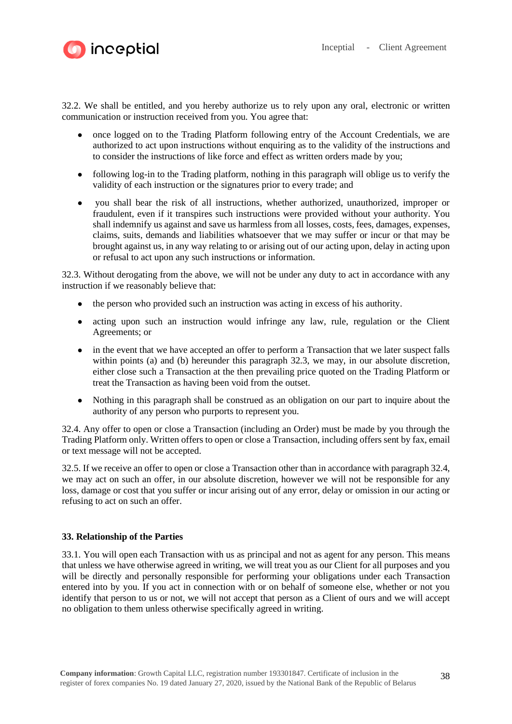

32.2. We shall be entitled, and you hereby authorize us to rely upon any oral, electronic or written communication or instruction received from you. You agree that:

- once logged on to the Trading Platform following entry of the Account Credentials, we are authorized to act upon instructions without enquiring as to the validity of the instructions and to consider the instructions of like force and effect as written orders made by you;
- following log-in to the Trading platform, nothing in this paragraph will oblige us to verify the validity of each instruction or the signatures prior to every trade; and
- you shall bear the risk of all instructions, whether authorized, unauthorized, improper or fraudulent, even if it transpires such instructions were provided without your authority. You shall indemnify us against and save us harmless from all losses, costs, fees, damages, expenses, claims, suits, demands and liabilities whatsoever that we may suffer or incur or that may be brought against us, in any way relating to or arising out of our acting upon, delay in acting upon or refusal to act upon any such instructions or information.

32.3. Without derogating from the above, we will not be under any duty to act in accordance with any instruction if we reasonably believe that:

- the person who provided such an instruction was acting in excess of his authority.
- acting upon such an instruction would infringe any law, rule, regulation or the Client Agreements; or
- in the event that we have accepted an offer to perform a Transaction that we later suspect falls within points (a) and (b) hereunder this paragraph 32.3, we may, in our absolute discretion, either close such a Transaction at the then prevailing price quoted on the Trading Platform or treat the Transaction as having been void from the outset.
- Nothing in this paragraph shall be construed as an obligation on our part to inquire about the authority of any person who purports to represent you.

32.4. Any offer to open or close a Transaction (including an Order) must be made by you through the Trading Platform only. Written offers to open or close a Transaction, including offers sent by fax, email or text message will not be accepted.

32.5. If we receive an offer to open or close a Transaction other than in accordance with paragraph 32.4, we may act on such an offer, in our absolute discretion, however we will not be responsible for any loss, damage or cost that you suffer or incur arising out of any error, delay or omission in our acting or refusing to act on such an offer.

## **33. Relationship of the Parties**

33.1. You will open each Transaction with us as principal and not as agent for any person. This means that unless we have otherwise agreed in writing, we will treat you as our Client for all purposes and you will be directly and personally responsible for performing your obligations under each Transaction entered into by you. If you act in connection with or on behalf of someone else, whether or not you identify that person to us or not, we will not accept that person as a Client of ours and we will accept no obligation to them unless otherwise specifically agreed in writing.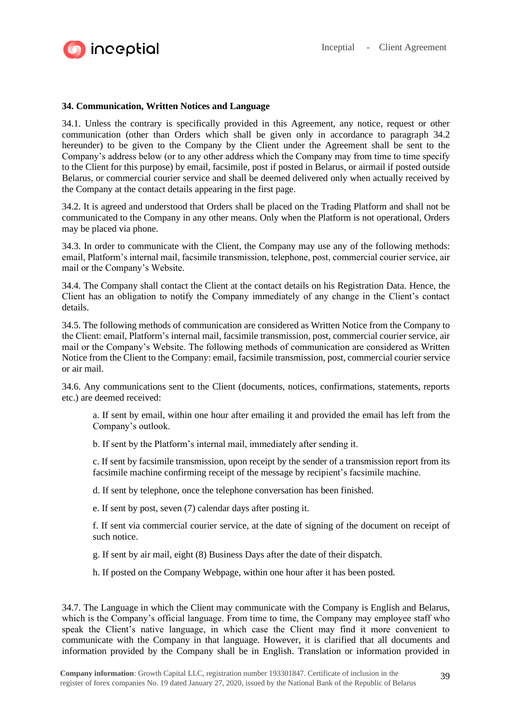

## **34. Communication, Written Notices and Language**

34.1. Unless the contrary is specifically provided in this Agreement, any notice, request or other communication (other than Orders which shall be given only in accordance to paragraph 34.2 hereunder) to be given to the Company by the Client under the Agreement shall be sent to the Company's address below (or to any other address which the Company may from time to time specify to the Client for this purpose) by email, facsimile, post if posted in Belarus, or airmail if posted outside Belarus, or commercial courier service and shall be deemed delivered only when actually received by the Company at the contact details appearing in the first page.

34.2. It is agreed and understood that Orders shall be placed on the Trading Platform and shall not be communicated to the Company in any other means. Only when the Platform is not operational, Orders may be placed via phone.

34.3. In order to communicate with the Client, the Company may use any of the following methods: email, Platform's internal mail, facsimile transmission, telephone, post, commercial courier service, air mail or the Company's Website.

34.4. The Company shall contact the Client at the contact details on his Registration Data. Hence, the Client has an obligation to notify the Company immediately of any change in the Client's contact details.

34.5. The following methods of communication are considered as Written Notice from the Company to the Client: email, Platform's internal mail, facsimile transmission, post, commercial courier service, air mail or the Company's Website. The following methods of communication are considered as Written Notice from the Client to the Company: email, facsimile transmission, post, commercial courier service or air mail.

34.6. Any communications sent to the Client (documents, notices, confirmations, statements, reports etc.) are deemed received:

a. If sent by email, within one hour after emailing it and provided the email has left from the Company's outlook.

b. If sent by the Platform's internal mail, immediately after sending it.

c. If sent by facsimile transmission, upon receipt by the sender of a transmission report from its facsimile machine confirming receipt of the message by recipient's facsimile machine.

d. If sent by telephone, once the telephone conversation has been finished.

e. If sent by post, seven (7) calendar days after posting it.

f. If sent via commercial courier service, at the date of signing of the document on receipt of such notice.

g. If sent by air mail, eight (8) Business Days after the date of their dispatch.

h. If posted on the Company Webpage, within one hour after it has been posted.

34.7. The Language in which the Client may communicate with the Company is English and Belarus, which is the Company's official language. From time to time, the Company may employee staff who speak the Client's native language, in which case the Client may find it more convenient to communicate with the Company in that language. However, it is clarified that all documents and information provided by the Company shall be in English. Translation or information provided in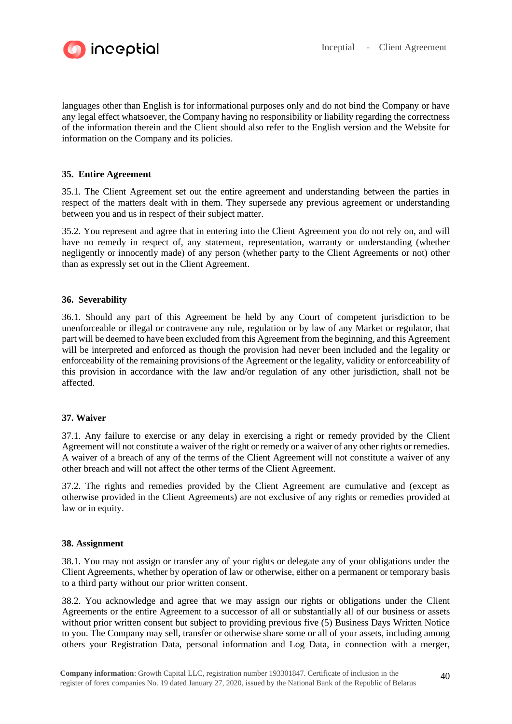

languages other than English is for informational purposes only and do not bind the Company or have any legal effect whatsoever, the Company having no responsibility or liability regarding the correctness of the information therein and the Client should also refer to the English version and the Website for information on the Company and its policies.

## **35. Entire Agreement**

35.1. The Client Agreement set out the entire agreement and understanding between the parties in respect of the matters dealt with in them. They supersede any previous agreement or understanding between you and us in respect of their subject matter.

35.2. You represent and agree that in entering into the Client Agreement you do not rely on, and will have no remedy in respect of, any statement, representation, warranty or understanding (whether negligently or innocently made) of any person (whether party to the Client Agreements or not) other than as expressly set out in the Client Agreement.

## **36. Severability**

36.1. Should any part of this Agreement be held by any Court of competent jurisdiction to be unenforceable or illegal or contravene any rule, regulation or by law of any Market or regulator, that part will be deemed to have been excluded from this Agreement from the beginning, and this Agreement will be interpreted and enforced as though the provision had never been included and the legality or enforceability of the remaining provisions of the Agreement or the legality, validity or enforceability of this provision in accordance with the law and/or regulation of any other jurisdiction, shall not be affected.

#### **37. Waiver**

37.1. Any failure to exercise or any delay in exercising a right or remedy provided by the Client Agreement will not constitute a waiver of the right or remedy or a waiver of any other rights or remedies. A waiver of a breach of any of the terms of the Client Agreement will not constitute a waiver of any other breach and will not affect the other terms of the Client Agreement.

37.2. The rights and remedies provided by the Client Agreement are cumulative and (except as otherwise provided in the Client Agreements) are not exclusive of any rights or remedies provided at law or in equity.

### **38. Assignment**

38.1. You may not assign or transfer any of your rights or delegate any of your obligations under the Client Agreements, whether by operation of law or otherwise, either on a permanent or temporary basis to a third party without our prior written consent.

38.2. You acknowledge and agree that we may assign our rights or obligations under the Client Agreements or the entire Agreement to a successor of all or substantially all of our business or assets without prior written consent but subject to providing previous five (5) Business Days Written Notice to you. The Company may sell, transfer or otherwise share some or all of your assets, including among others your Registration Data, personal information and Log Data, in connection with a merger,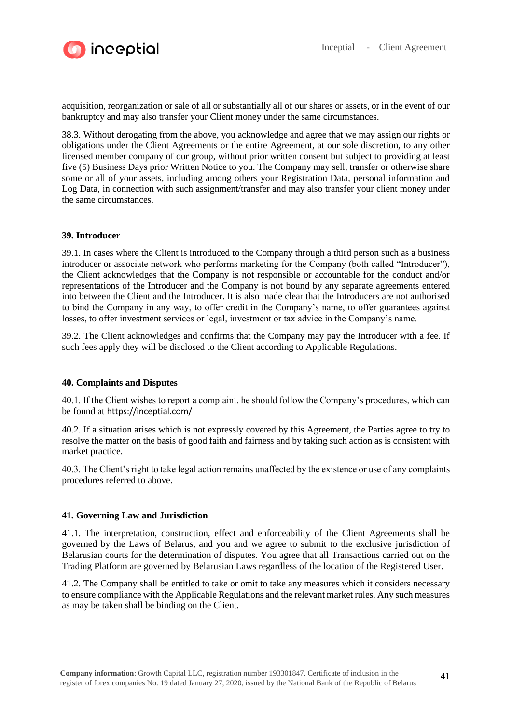

acquisition, reorganization or sale of all or substantially all of our shares or assets, or in the event of our bankruptcy and may also transfer your Client money under the same circumstances.

38.3. Without derogating from the above, you acknowledge and agree that we may assign our rights or obligations under the Client Agreements or the entire Agreement, at our sole discretion, to any other licensed member company of our group, without prior written consent but subject to providing at least five (5) Business Days prior Written Notice to you. The Company may sell, transfer or otherwise share some or all of your assets, including among others your Registration Data, personal information and Log Data, in connection with such assignment/transfer and may also transfer your client money under the same circumstances.

## **39. Introducer**

39.1. In cases where the Client is introduced to the Company through a third person such as a business introducer or associate network who performs marketing for the Company (both called "Introducer"), the Client acknowledges that the Company is not responsible or accountable for the conduct and/or representations of the Introducer and the Company is not bound by any separate agreements entered into between the Client and the Introducer. It is also made clear that the Introducers are not authorised to bind the Company in any way, to offer credit in the Company's name, to offer guarantees against losses, to offer investment services or legal, investment or tax advice in the Company's name.

39.2. The Client acknowledges and confirms that the Company may pay the Introducer with a fee. If such fees apply they will be disclosed to the Client according to Applicable Regulations.

#### **40. Complaints and Disputes**

40.1. If the Client wishes to report a complaint, he should follow the Company's procedures, which can be found at https://inceptial.com/

40.2. If a situation arises which is not expressly covered by this Agreement, the Parties agree to try to resolve the matter on the basis of good faith and fairness and by taking such action as is consistent with market practice.

40.3. The Client's right to take legal action remains unaffected by the existence or use of any complaints procedures referred to above.

#### **41. Governing Law and Jurisdiction**

41.1. The interpretation, construction, effect and enforceability of the Client Agreements shall be governed by the Laws of Belarus, and you and we agree to submit to the exclusive jurisdiction of Belarusian courts for the determination of disputes. You agree that all Transactions carried out on the Trading Platform are governed by Belarusian Laws regardless of the location of the Registered User.

41.2. The Company shall be entitled to take or omit to take any measures which it considers necessary to ensure compliance with the Applicable Regulations and the relevant market rules. Any such measures as may be taken shall be binding on the Client.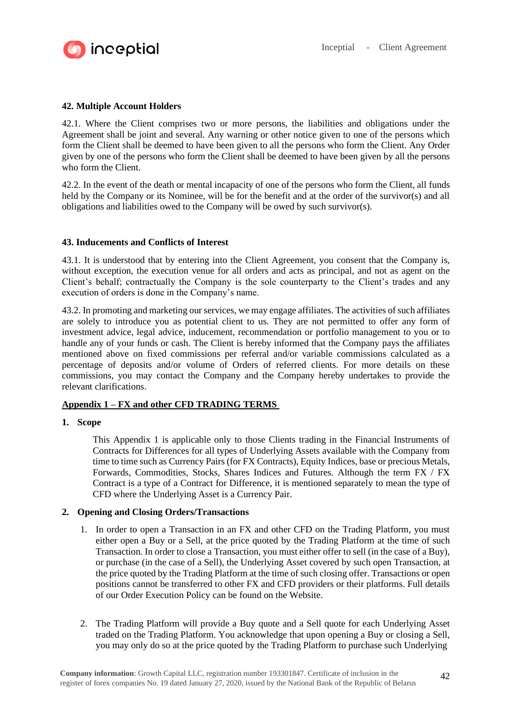

# **42. Multiple Account Holders**

42.1. Where the Client comprises two or more persons, the liabilities and obligations under the Agreement shall be joint and several. Any warning or other notice given to one of the persons which form the Client shall be deemed to have been given to all the persons who form the Client. Any Order given by one of the persons who form the Client shall be deemed to have been given by all the persons who form the Client.

42.2. In the event of the death or mental incapacity of one of the persons who form the Client, all funds held by the Company or its Nominee, will be for the benefit and at the order of the survivor(s) and all obligations and liabilities owed to the Company will be owed by such survivor(s).

## **43. Inducements and Conflicts of Interest**

43.1. It is understood that by entering into the Client Agreement, you consent that the Company is, without exception, the execution venue for all orders and acts as principal, and not as agent on the Client's behalf; contractually the Company is the sole counterparty to the Client's trades and any execution of orders is done in the Company's name.

43.2. In promoting and marketing our services, we may engage affiliates. The activities of such affiliates are solely to introduce you as potential client to us. They are not permitted to offer any form of investment advice, legal advice, inducement, recommendation or portfolio management to you or to handle any of your funds or cash. The Client is hereby informed that the Company pays the affiliates mentioned above on fixed commissions per referral and/or variable commissions calculated as a percentage of deposits and/or volume of Orders of referred clients. For more details on these commissions, you may contact the Company and the Company hereby undertakes to provide the relevant clarifications.

## **Appendix 1 – FX and other CFD TRADING TERMS**

#### **1. Scope**

This Appendix 1 is applicable only to those Clients trading in the Financial Instruments of Contracts for Differences for all types of Underlying Assets available with the Company from time to time such as Currency Pairs (for FX Contracts), Equity Indices, base or precious Metals, Forwards, Commodities, Stocks, Shares Indices and Futures. Although the term FX / FX Contract is a type of a Contract for Difference, it is mentioned separately to mean the type of CFD where the Underlying Asset is a Currency Pair.

## **2. Opening and Closing Orders/Transactions**

- 1. In order to open a Transaction in an FX and other CFD on the Trading Platform, you must either open a Buy or a Sell, at the price quoted by the Trading Platform at the time of such Transaction. In order to close a Transaction, you must either offer to sell (in the case of a Buy), or purchase (in the case of a Sell), the Underlying Asset covered by such open Transaction, at the price quoted by the Trading Platform at the time of such closing offer. Transactions or open positions cannot be transferred to other FX and CFD providers or their platforms. Full details of our Order Execution Policy can be found on the Website.
- 2. The Trading Platform will provide a Buy quote and a Sell quote for each Underlying Asset traded on the Trading Platform. You acknowledge that upon opening a Buy or closing a Sell, you may only do so at the price quoted by the Trading Platform to purchase such Underlying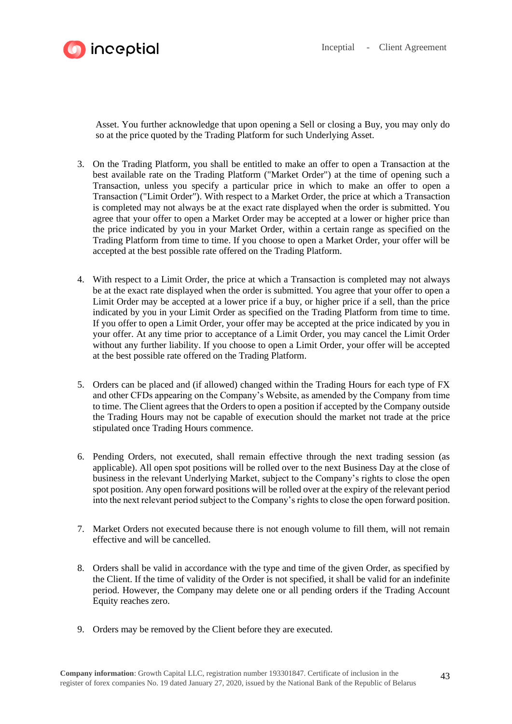



Asset. You further acknowledge that upon opening a Sell or closing a Buy, you may only do so at the price quoted by the Trading Platform for such Underlying Asset.

- 3. On the Trading Platform, you shall be entitled to make an offer to open a Transaction at the best available rate on the Trading Platform ("Market Order") at the time of opening such a Transaction, unless you specify a particular price in which to make an offer to open a Transaction ("Limit Order"). With respect to a Market Order, the price at which a Transaction is completed may not always be at the exact rate displayed when the order is submitted. You agree that your offer to open a Market Order may be accepted at a lower or higher price than the price indicated by you in your Market Order, within a certain range as specified on the Trading Platform from time to time. If you choose to open a Market Order, your offer will be accepted at the best possible rate offered on the Trading Platform.
- 4. With respect to a Limit Order, the price at which a Transaction is completed may not always be at the exact rate displayed when the order is submitted. You agree that your offer to open a Limit Order may be accepted at a lower price if a buy, or higher price if a sell, than the price indicated by you in your Limit Order as specified on the Trading Platform from time to time. If you offer to open a Limit Order, your offer may be accepted at the price indicated by you in your offer. At any time prior to acceptance of a Limit Order, you may cancel the Limit Order without any further liability. If you choose to open a Limit Order, your offer will be accepted at the best possible rate offered on the Trading Platform.
- 5. Orders can be placed and (if allowed) changed within the Trading Hours for each type of FX and other CFDs appearing on the Company's Website, as amended by the Company from time to time. The Client agrees that the Orders to open a position if accepted by the Company outside the Trading Hours may not be capable of execution should the market not trade at the price stipulated once Trading Hours commence.
- 6. Pending Orders, not executed, shall remain effective through the next trading session (as applicable). All open spot positions will be rolled over to the next Business Day at the close of business in the relevant Underlying Market, subject to the Company's rights to close the open spot position. Any open forward positions will be rolled over at the expiry of the relevant period into the next relevant period subject to the Company's rights to close the open forward position.
- 7. Market Orders not executed because there is not enough volume to fill them, will not remain effective and will be cancelled.
- 8. Orders shall be valid in accordance with the type and time of the given Order, as specified by the Client. If the time of validity of the Order is not specified, it shall be valid for an indefinite period. However, the Company may delete one or all pending orders if the Trading Account Equity reaches zero.
- 9. Orders may be removed by the Client before they are executed.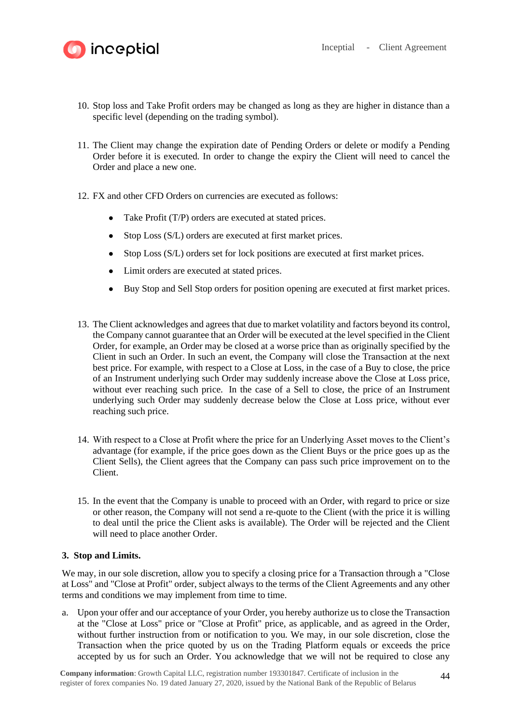



- 10. Stop loss and Take Profit orders may be changed as long as they are higher in distance than a specific level (depending on the trading symbol).
- 11. The Client may change the expiration date of Pending Orders or delete or modify a Pending Order before it is executed. In order to change the expiry the Client will need to cancel the Order and place a new one.
- 12. FX and other CFD Orders on currencies are executed as follows:
	- Take Profit (T/P) orders are executed at stated prices.
	- Stop Loss (S/L) orders are executed at first market prices.
	- Stop Loss (S/L) orders set for lock positions are executed at first market prices.
	- Limit orders are executed at stated prices.
	- Buy Stop and Sell Stop orders for position opening are executed at first market prices.
- 13. The Client acknowledges and agrees that due to market volatility and factors beyond its control, the Company cannot guarantee that an Order will be executed at the level specified in the Client Order, for example, an Order may be closed at a worse price than as originally specified by the Client in such an Order. In such an event, the Company will close the Transaction at the next best price. For example, with respect to a Close at Loss, in the case of a Buy to close, the price of an Instrument underlying such Order may suddenly increase above the Close at Loss price, without ever reaching such price. In the case of a Sell to close, the price of an Instrument underlying such Order may suddenly decrease below the Close at Loss price, without ever reaching such price.
- 14. With respect to a Close at Profit where the price for an Underlying Asset moves to the Client's advantage (for example, if the price goes down as the Client Buys or the price goes up as the Client Sells), the Client agrees that the Company can pass such price improvement on to the Client.
- 15. In the event that the Company is unable to proceed with an Order, with regard to price or size or other reason, the Company will not send a re-quote to the Client (with the price it is willing to deal until the price the Client asks is available). The Order will be rejected and the Client will need to place another Order.

## **3. Stop and Limits.**

We may, in our sole discretion, allow you to specify a closing price for a Transaction through a "Close at Loss" and "Close at Profit" order, subject always to the terms of the Client Agreements and any other terms and conditions we may implement from time to time.

a. Upon your offer and our acceptance of your Order, you hereby authorize us to close the Transaction at the "Close at Loss" price or "Close at Profit" price, as applicable, and as agreed in the Order, without further instruction from or notification to you. We may, in our sole discretion, close the Transaction when the price quoted by us on the Trading Platform equals or exceeds the price accepted by us for such an Order. You acknowledge that we will not be required to close any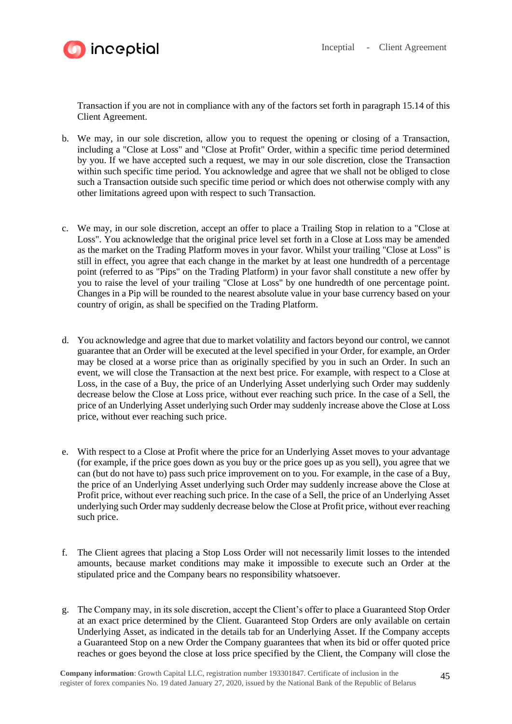



Transaction if you are not in compliance with any of the factors set forth in paragraph 15.14 of this Client Agreement.

- b. We may, in our sole discretion, allow you to request the opening or closing of a Transaction, including a "Close at Loss" and "Close at Profit" Order, within a specific time period determined by you. If we have accepted such a request, we may in our sole discretion, close the Transaction within such specific time period. You acknowledge and agree that we shall not be obliged to close such a Transaction outside such specific time period or which does not otherwise comply with any other limitations agreed upon with respect to such Transaction.
- c. We may, in our sole discretion, accept an offer to place a Trailing Stop in relation to a "Close at Loss". You acknowledge that the original price level set forth in a Close at Loss may be amended as the market on the Trading Platform moves in your favor. Whilst your trailing "Close at Loss" is still in effect, you agree that each change in the market by at least one hundredth of a percentage point (referred to as "Pips" on the Trading Platform) in your favor shall constitute a new offer by you to raise the level of your trailing "Close at Loss" by one hundredth of one percentage point. Changes in a Pip will be rounded to the nearest absolute value in your base currency based on your country of origin, as shall be specified on the Trading Platform.
- d. You acknowledge and agree that due to market volatility and factors beyond our control, we cannot guarantee that an Order will be executed at the level specified in your Order, for example, an Order may be closed at a worse price than as originally specified by you in such an Order. In such an event, we will close the Transaction at the next best price. For example, with respect to a Close at Loss, in the case of a Buy, the price of an Underlying Asset underlying such Order may suddenly decrease below the Close at Loss price, without ever reaching such price. In the case of a Sell, the price of an Underlying Asset underlying such Order may suddenly increase above the Close at Loss price, without ever reaching such price.
- e. With respect to a Close at Profit where the price for an Underlying Asset moves to your advantage (for example, if the price goes down as you buy or the price goes up as you sell), you agree that we can (but do not have to) pass such price improvement on to you. For example, in the case of a Buy, the price of an Underlying Asset underlying such Order may suddenly increase above the Close at Profit price, without ever reaching such price. In the case of a Sell, the price of an Underlying Asset underlying such Order may suddenly decrease below the Close at Profit price, without ever reaching such price.
- f. The Client agrees that placing a Stop Loss Order will not necessarily limit losses to the intended amounts, because market conditions may make it impossible to execute such an Order at the stipulated price and the Company bears no responsibility whatsoever.
- g. The Company may, in its sole discretion, accept the Client's offer to place a Guaranteed Stop Order at an exact price determined by the Client. Guaranteed Stop Orders are only available on certain Underlying Asset, as indicated in the details tab for an Underlying Asset. If the Company accepts a Guaranteed Stop on a new Order the Company guarantees that when its bid or offer quoted price reaches or goes beyond the close at loss price specified by the Client, the Company will close the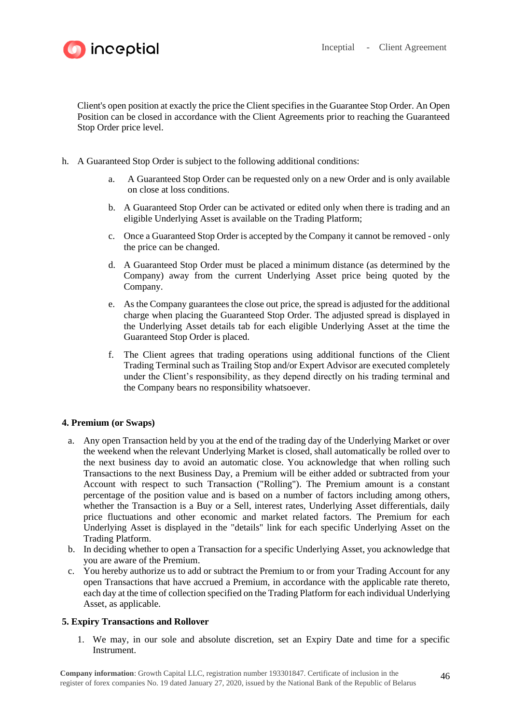

**inceptial** 

Client's open position at exactly the price the Client specifies in the Guarantee Stop Order. An Open Position can be closed in accordance with the Client Agreements prior to reaching the Guaranteed Stop Order price level.

- h. A Guaranteed Stop Order is subject to the following additional conditions:
	- a. A Guaranteed Stop Order can be requested only on a new Order and is only available on close at loss conditions.
	- b. A Guaranteed Stop Order can be activated or edited only when there is trading and an eligible Underlying Asset is available on the Trading Platform;
	- c. Once a Guaranteed Stop Order is accepted by the Company it cannot be removed only the price can be changed.
	- d. A Guaranteed Stop Order must be placed a minimum distance (as determined by the Company) away from the current Underlying Asset price being quoted by the Company.
	- e. As the Company guarantees the close out price, the spread is adjusted for the additional charge when placing the Guaranteed Stop Order. The adjusted spread is displayed in the Underlying Asset details tab for each eligible Underlying Asset at the time the Guaranteed Stop Order is placed.
	- f. The Client agrees that trading operations using additional functions of the Client Trading Terminal such as Trailing Stop and/or Expert Advisor are executed completely under the Client's responsibility, as they depend directly on his trading terminal and the Company bears no responsibility whatsoever.

## **4. Premium (or Swaps)**

- a. Any open Transaction held by you at the end of the trading day of the Underlying Market or over the weekend when the relevant Underlying Market is closed, shall automatically be rolled over to the next business day to avoid an automatic close. You acknowledge that when rolling such Transactions to the next Business Day, a Premium will be either added or subtracted from your Account with respect to such Transaction ("Rolling"). The Premium amount is a constant percentage of the position value and is based on a number of factors including among others, whether the Transaction is a Buy or a Sell, interest rates, Underlying Asset differentials, daily price fluctuations and other economic and market related factors. The Premium for each Underlying Asset is displayed in the "details" link for each specific Underlying Asset on the Trading Platform.
- b. In deciding whether to open a Transaction for a specific Underlying Asset, you acknowledge that you are aware of the Premium.
- c. You hereby authorize us to add or subtract the Premium to or from your Trading Account for any open Transactions that have accrued a Premium, in accordance with the applicable rate thereto, each day at the time of collection specified on the Trading Platform for each individual Underlying Asset, as applicable.

## **5. Expiry Transactions and Rollover**

1. We may, in our sole and absolute discretion, set an Expiry Date and time for a specific Instrument.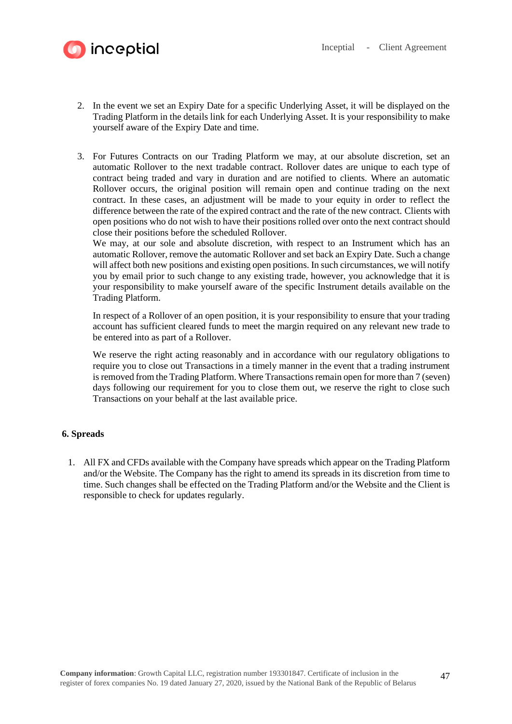

- 2. In the event we set an Expiry Date for a specific Underlying Asset, it will be displayed on the Trading Platform in the details link for each Underlying Asset. It is your responsibility to make yourself aware of the Expiry Date and time.
- 3. For Futures Contracts on our Trading Platform we may, at our absolute discretion, set an automatic Rollover to the next tradable contract. Rollover dates are unique to each type of contract being traded and vary in duration and are notified to clients. Where an automatic Rollover occurs, the original position will remain open and continue trading on the next contract. In these cases, an adjustment will be made to your equity in order to reflect the difference between the rate of the expired contract and the rate of the new contract. Clients with open positions who do not wish to have their positions rolled over onto the next contract should close their positions before the scheduled Rollover.

We may, at our sole and absolute discretion, with respect to an Instrument which has an automatic Rollover, remove the automatic Rollover and set back an Expiry Date. Such a change will affect both new positions and existing open positions. In such circumstances, we will notify you by email prior to such change to any existing trade, however, you acknowledge that it is your responsibility to make yourself aware of the specific Instrument details available on the Trading Platform.

In respect of a Rollover of an open position, it is your responsibility to ensure that your trading account has sufficient cleared funds to meet the margin required on any relevant new trade to be entered into as part of a Rollover.

We reserve the right acting reasonably and in accordance with our regulatory obligations to require you to close out Transactions in a timely manner in the event that a trading instrument is removed from the Trading Platform. Where Transactions remain open for more than 7 (seven) days following our requirement for you to close them out, we reserve the right to close such Transactions on your behalf at the last available price.

## **6. Spreads**

1. All FX and CFDs available with the Company have spreads which appear on the Trading Platform and/or the Website. The Company has the right to amend its spreads in its discretion from time to time. Such changes shall be effected on the Trading Platform and/or the Website and the Client is responsible to check for updates regularly.